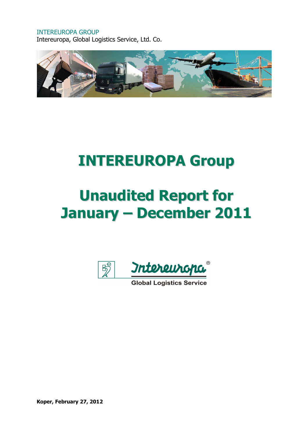### INTEREUROPA GROUP

Intereuropa, Global Logistics Service, Ltd. Co.



## INTEREUROPA Group

# Unaudited Report for January – December 2011



Koper, February 27, 2012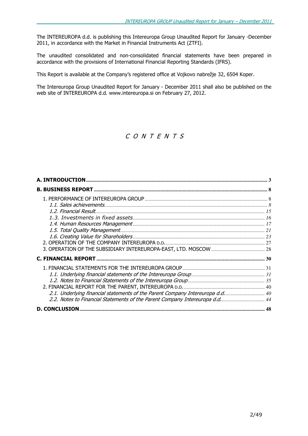The INTEREUROPA d.d. is publishing this Intereuropa Group Unaudited Report for January -December 2011, in accordance with the Market in Financial Instruments Act (ZTFI).

The unaudited consolidated and non-consolidated financial statements have been prepared in accordance with the provisions of International Financial Reporting Standards (IFRS).

This Report is available at the Company's registered office at Vojkovo nabrežje 32, 6504 Koper.

The Intereuropa Group Unaudited Report for January - December 2011 shall also be published on the web site of INTEREUROPA d.d. www.intereuropa.si on February 27, 2012.

### C O N T E N T S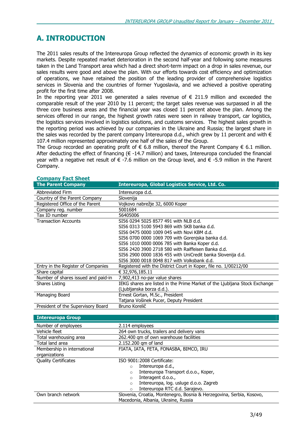### A. INTRODUCTION

The 2011 sales results of the Intereuropa Group reflected the dynamics of economic growth in its key markets. Despite repeated market deterioration in the second half-year and following some measures taken in the Land Transport area which had a direct short-term impact on a drop in sales revenue, our sales results were good and above the plan. With our efforts towards cost efficiency and optimization of operations, we have retained the position of the leading provider of comprehensive logistics services in Slovenia and the countries of former Yugoslavia, and we achieved a positive operating profit for the first time after 2008.

In the reporting year 2011 we generated a sales revenue of  $\epsilon$  211.9 million and exceeded the comparable result of the year 2010 by 11 percent; the target sales revenue was surpassed in all the three core business areas and the financial year was closed 11 percent above the plan. Among the services offered in our range, the highest growth rates were seen in railway transport, car logistics, the logistics services involved in logistics solutions, and customs services. The highest sales growth in the reporting period was achieved by our companies in the Ukraine and Russia; the largest share in the sales was recorded by the parent company Intereuropa d.d., which grew by 11 percent and with  $\epsilon$ 107.4 million represented approximately one half of the sales of the Group.

The Group recorded an operating profit of  $\in$  6.8 million, thereof the Parent Company  $\in$  6.1 million. After deducting the effect of financing  $(\epsilon$  -14.7 million) and taxes, Intereuropa concluded the financial year with a negative net result of  $∈$  -7.6 million on the Group level, and  $∈$  -5.9 million in the Parent Company.

| Company ract Sneet                  |                                                                            |
|-------------------------------------|----------------------------------------------------------------------------|
| <b>The Parent Company</b>           | Intereuropa, Global Logistics Service, Ltd. Co.                            |
| Abbreviated Firm                    | Intereuropa d.d.                                                           |
| Country of the Parent Company       | Slovenija                                                                  |
| Registered Office of the Parent     | Vojkovo nabrežje 32, 6000 Koper                                            |
| Company reg. number                 | 5001684                                                                    |
| Tax ID number                       | 56405006                                                                   |
| <b>Transaction Accounts</b>         | SI56 0294 5025 8577 491 with NLB d.d.                                      |
|                                     | SI56 0313 5100 5943 869 with SKB banka d.d.                                |
|                                     | SI56 0475 0000 1009 045 with Novi KBM d.d.                                 |
|                                     | SI56 0700 0000 1069 709 with Gorenjska banka d.d.                          |
|                                     | SI56 1010 0000 0006 785 with Banka Koper d.d.                              |
|                                     | SI56 2420 3900 2718 580 with Raiffeisen Banka d.d.                         |
|                                     | SI56 2900 0000 1836 455 with UniCredit banka Slovenija d.d.                |
|                                     | SI56 3000 0018 0048 817 with Volksbank d.d.                                |
| Entry in the Register of Companies  | Registered with the District Court in Koper, file no. 1/00212/00           |
| Share capital                       | € 32,976,185.11                                                            |
| Number of shares issued and paid-in | 7,902,413 no-par value shares                                              |
| Shares Listing                      | IEKG shares are listed in the Prime Market of the Ljubljana Stock Exchange |
|                                     | (Ljubljanska borza d.d.).                                                  |
| Managing Board                      | Ernest Gortan, M.Sc., President                                            |
|                                     | Tatjana Vošinek Pucer, Deputy President                                    |
| President of the Supervisory Board  | Bruno Korelič                                                              |
|                                     |                                                                            |
| <b>Intereuropa Group</b>            |                                                                            |
| Number of employees                 | 2.114 employees                                                            |
| Vehicle fleet                       | 264 own trucks, trailers and delivery vans                                 |
| Total warehousing area              | 262.400 qm of own warehouse facilities                                     |
| Total land area                     | 2.152.200 qm of land                                                       |
| Membership in international         | FIATA, IATA, FETA, FONASBA, BIMCO, IRU                                     |
| organizations                       |                                                                            |
| <b>Quality Certificates</b>         | ISO 9001:2008 Certificate:                                                 |
|                                     | Intereuropa d.d.,<br>$\circ$                                               |
|                                     | Intereuropa Transport d.o.o., Koper,<br>$\circ$                            |

### Company Fact Sheet

Intereuropa, log. usluge d.o.o. Zagreb

o Interagent d.o.o.,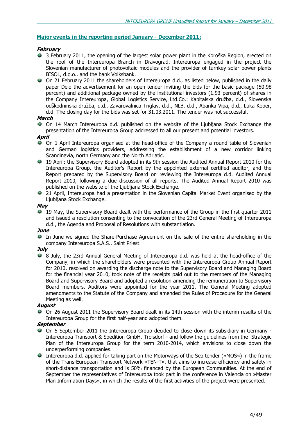### Major events in the reporting period January - December 2011:

### February

- 3 February 2011, the opening of the largest solar power plant in the Koroška Region, erected on the roof of the Intereuropa Branch in Dravograd. Intereuropa engaged in the project the Slovenian manufacturer of photovoltaic modules and the provider of turnkey solar power plants BISOL, d.o.o., and the bank Volksbank.
- On 21 February 2011 the shareholders of Intereuropa d.d., as listed below, published in the daily paper Delo the advertisement for an open tender inviting the bids for the basic package (50.98 percent) and additional package owned by the institutional investors (1.93 percent) of shares in the Company Intereuropa, Global Logistics Service, Ltd.Co.: Kapitalska družba, d.d., Slovenska odškodninska družba, d.d., Zavarovalnica Triglav, d.d., NLB, d.d., Abanka Vipa, d.d., Luka Koper, d.d. The closing day for the bids was set for 31.03.2011. The tender was not successful.

### March

On 14 March Intereuropa d.d. published on the website of the Ljubljana Stock Exchange the presentation of the Intereuropa Group addressed to all our present and potential investors.

### April

- On 1 April Intereuropa organised at the head-office of the Company a round table of Slovenian and German logistics providers, addressing the establishment of a new corridor linking Scandinavia, north Germany and the North Adriatic.
- 19 April: the Supervisory Board adopted in its 9th session the Audited Annual Report 2010 for the Intereuropa Group, the Auditor's Report by the appointed external certified auditor, and the Report prepared by the Supervisory Board on reviewing the Intereuropa d.d. Audited Annual Report 2010, following a due discussion of all reports. The Audited Annual Report 2010 was published on the website of the Ljubljana Stock Exchange.
- 21 April, Intereuropa had a presentation in the Slovenian Capital Market Event organised by the Ljubljana Stock Exchange.

### May

19 May, the Supervisory Board dealt with the performance of the Group in the first quarter 2011 and issued a resolution consenting to the convocation of the 23rd General Meeting of Intereuropa d.d., the Agenda and Proposal of Resolutions with substantiation.

### June

In June we signed the Share-Purchase Agreement on the sale of the entire shareholding in the company Intereuropa S.A.S., Saint Priest.

### July

8 July, the 23rd Annual General Meeting of Intereuropa d.d. was held at the head-office of the Company, in which the shareholders were presented with the Intereuropa Group Annual Report for 2010, resolved on awarding the discharge note to the Supervisory Board and Managing Board for the financial year 2010, took note of the receipts paid out to the members of the Managing Board and Supervisory Board and adopted a resolution amending the remuneration to Supervisory Board members. Auditors were appointed for the year 2011. The General Meeting adopted amendments to the Statute of the Company and amended the Rules of Procedure for the General Meeting as well.

### August

On 26 August 2011 the Supervisory Board dealt in its 14th session with the interim results of the Intereuropa Group for the first half-year and adopted them.

### **September**

- On 5 September 2011 the Intereuropa Group decided to close down its subsidiary in Germany Intereuropa Transport & Spedition GmbH, Troisdorf - and follow the guidelines from the Strategic Plan of the Intereuropa Group for the term 2010-2014, which envisions to close down the underperforming companies.
- Intereuropa d.d. applied for taking part on the Motorways of the Sea tender (»MOS«) in the frame of the Trans-European Transport Network »TEN-T«, that aims to increase efficiency and safety in short-distance transportation and is 50% financed by the European Communities. At the end of September the representatives of Intereuropa took part in the conference in Valencia on »Master Plan Information Days«, in which the results of the first activities of the project were presented.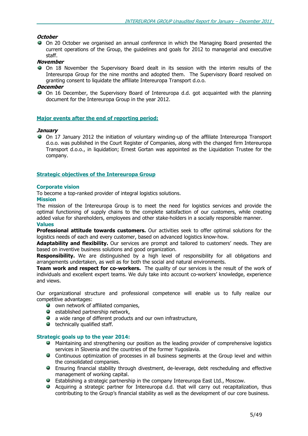### **October**

On 20 October we organised an annual conference in which the Managing Board presented the current operations of the Group, the guidelines and goals for 2012 to managerial and executive staff.

### November

On 18 November the Supervisory Board dealt in its session with the interim results of the Intereuropa Group for the nine months and adopted them. The Supervisory Board resolved on granting consent to liquidate the affiliate Intereuropa Transport d.o.o.

### **December**

On 16 December, the Supervisory Board of Intereuropa d.d. got acquainted with the planning document for the Intereuropa Group in the year 2012.

### Major events after the end of reporting period:

### **January**

On 17 January 2012 the initiation of voluntary winding-up of the affiliate Intereuropa Transport d.o.o. was published in the Court Register of Companies, along with the changed firm Intereuropa Transport d.o.o., in liquidation; Ernest Gortan was appointed as the Liquidation Trustee for the company.

### Strategic objectives of the Intereuropa Group

### Corporate vision

To become a top-ranked provider of integral logistics solutions.

### Mission

The mission of the Intereuropa Group is to meet the need for logistics services and provide the optimal functioning of supply chains to the complete satisfaction of our customers, while creating added value for shareholders, employees and other stake-holders in a socially responsible manner. Values

**Professional attitude towards customers.** Our activities seek to offer optimal solutions for the logistics needs of each and every customer, based on advanced logistics know-how.

Adaptability and flexibility. Our services are prompt and tailored to customers' needs. They are based on inventive business solutions and good organization.

**Responsibility.** We are distinguished by a high level of responsibility for all obligations and arrangements undertaken, as well as for both the social and natural environments.

**Team work and respect for co-workers.** The quality of our services is the result of the work of individuals and excellent expert teams. We duly take into account co-workers' knowledge, experience and views.

Our organizational structure and professional competence will enable us to fully realize our competitive advantages:

- $\bullet$  own network of affiliated companies,
- $\bullet$  established partnership network,
- $\bullet$  a wide range of different products and our own infrastructure,
- $\bullet$  technically qualified staff.

### Strategic goals up to the year 2014:

- **A** Maintaining and strengthening our position as the leading provider of comprehensive logistics services in Slovenia and the countries of the former Yugoslavia.
- **Continuous optimization of processes in all business segments at the Group level and within** the consolidated companies.
- Ensuring financial stability through divestment, de-leverage, debt rescheduling and effective management of working capital.
- Establishing a strategic partnership in the company Intereuropa East Ltd., Moscow.
- Acquiring a strategic partner for Intereuropa d.d. that will carry out recapitalization, thus contributing to the Group's financial stability as well as the development of our core business.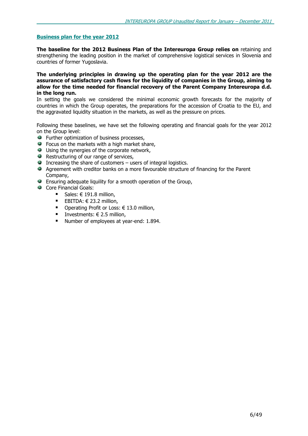### Business plan for the year 2012

The baseline for the 2012 Business Plan of the Intereuropa Group relies on retaining and strengthening the leading position in the market of comprehensive logistical services in Slovenia and countries of former Yugoslavia.

### The underlying principles in drawing up the operating plan for the year 2012 are the assurance of satisfactory cash flows for the liquidity of companies in the Group, aiming to allow for the time needed for financial recovery of the Parent Company Intereuropa d.d. in the long run.

In setting the goals we considered the minimal economic growth forecasts for the majority of countries in which the Group operates, the preparations for the accession of Croatia to the EU, and the aggravated liquidity situation in the markets, as well as the pressure on prices.

Following these baselines, we have set the following operating and financial goals for the year 2012 on the Group level:

- **Further optimization of business processes,**
- **•** Focus on the markets with a high market share,
- Using the synergies of the corporate network,
- **Restructuring of our range of services,**
- $\bullet$  Increasing the share of customers users of integral logistics.
- Agreement with creditor banks on a more favourable structure of financing for the Parent Company,
- Ensuring adequate liquility for a smooth operation of the Group,
- Core Financial Goals:
	- Sales:  $€ 191.8$  million,
	- EBITDA:  $€ 23.2$  million,
	- Operating Profit or Loss:  $€ 13.0$  million,
	- Investments:  $€ 2.5$  million,
	- Number of employees at year-end: 1.894.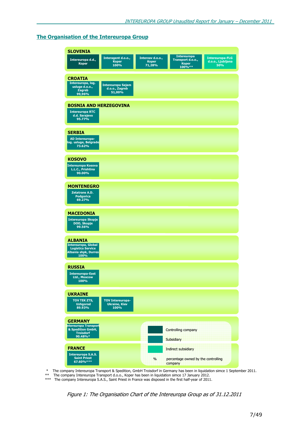### The Organisation of the Intereuropa Group

| <b>SLOVENIA</b>                                         |                              |                  |                                     |                          |
|---------------------------------------------------------|------------------------------|------------------|-------------------------------------|--------------------------|
|                                                         | Interagent d.o.o.,           | Interzav d.o.o., | <b>Intereuropa</b>                  | <b>Intereuropa-FLG</b>   |
| Intereuropa d.d.,<br><b>Koper</b>                       | <b>Koper</b><br>100%         | <b>Koper</b>     | Transport d.o.o.,<br><b>Koper</b>   | d.o.o., Ljubljana<br>50% |
|                                                         |                              | 71,28%           | 100%**                              |                          |
| <b>CROATIA</b>                                          |                              |                  |                                     |                          |
| Intereuropa, log.                                       | <b>Intereuropa Sajam</b>     |                  |                                     |                          |
| usluge d.o.o.,<br><b>Zagreb</b>                         | d.o.o., Zagreb<br>51,00%     |                  |                                     |                          |
| 99,96%                                                  |                              |                  |                                     |                          |
| <b>BOSNIA AND HERZEGOVINA</b>                           |                              |                  |                                     |                          |
| <b>Intereuropa RTC</b>                                  |                              |                  |                                     |                          |
| d.d. Sarajevo<br>95.77%                                 |                              |                  |                                     |                          |
|                                                         |                              |                  |                                     |                          |
| <b>SERBIA</b>                                           |                              |                  |                                     |                          |
| AD Intereuropa-                                         |                              |                  |                                     |                          |
| log. usluge, Belgrade<br>73.62%                         |                              |                  |                                     |                          |
|                                                         |                              |                  |                                     |                          |
| <b>KOSOVO</b>                                           |                              |                  |                                     |                          |
| <b>Intereuropa Kosova</b>                               |                              |                  |                                     |                          |
| L.L.C., Prishtina<br>90.00%                             |                              |                  |                                     |                          |
|                                                         |                              |                  |                                     |                          |
| <b>MONTENEGRO</b>                                       |                              |                  |                                     |                          |
| Zetatrans A.D.                                          |                              |                  |                                     |                          |
| <b>Podgorica</b><br>69.27%                              |                              |                  |                                     |                          |
|                                                         |                              |                  |                                     |                          |
| <b>MACEDONIA</b>                                        |                              |                  |                                     |                          |
| <b>Intereuropa Skopje</b>                               |                              |                  |                                     |                          |
| DOO, Skopje<br>99.56%                                   |                              |                  |                                     |                          |
|                                                         |                              |                  |                                     |                          |
| <b>ALBANIA</b>                                          |                              |                  |                                     |                          |
| <b>Intereuropa, Global</b>                              |                              |                  |                                     |                          |
| <b>Logistics Service</b><br><b>Albania shpk, Durres</b> |                              |                  |                                     |                          |
| 100%                                                    |                              |                  |                                     |                          |
| <b>RUSSIA</b>                                           |                              |                  |                                     |                          |
| <b>Intereuropa-East</b>                                 |                              |                  |                                     |                          |
| Ltd., Moscow<br>100%                                    |                              |                  |                                     |                          |
|                                                         |                              |                  |                                     |                          |
| <b>UKRAINE</b>                                          |                              |                  |                                     |                          |
| <b>TOV TEK ZTS,</b>                                     | <b>TOV Intereuropa-</b>      |                  |                                     |                          |
| <b>Uzhgorod</b><br>89.93%                               | <b>Ukraine, Kiev</b><br>100% |                  |                                     |                          |
|                                                         |                              |                  |                                     |                          |
| <b>GERMANY</b>                                          |                              |                  |                                     |                          |
| ntereuropa Transport                                    |                              |                  |                                     |                          |
| & Spedition GmbH,<br><b>Troisdorf</b>                   |                              |                  | Controlling company                 |                          |
| 90.48%*                                                 |                              |                  | <b>Subsidiary</b>                   |                          |
| <b>FRANCE</b>                                           |                              |                  | Indirect subsidiary                 |                          |
| <b>Intereuropa S.A.S.</b>                               |                              |                  |                                     |                          |
| <b>Saint Priest</b><br>67.60%***                        |                              | %                | percentage owned by the controlling |                          |
|                                                         |                              |                  | company                             |                          |

\* The company Intereuropa Transport & Spedition, GmbH Troisdorf in Germany has been in liquidation simce 1 September 2011.

\*\* The company Intereuropa Transport d.o.o., Koper has been in liquidation simce 17 January 2012.

\*\*\* The company Intereuropa S.A.S., Saint Priest in France was disposed in the first half-year of 2011.

Figure 1: The Organisation Chart of the Intereuropa Group as of 31.12.2011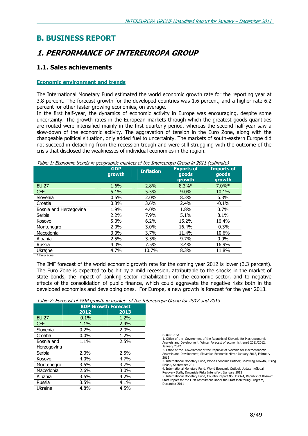### B. BUSINESS REPORT

### 1. PERFORMANCE OF INTEREUROPA GROUP

### 1.1. Sales achievements

### Economic environment and trends

The International Monetary Fund estimated the world economic growth rate for the reporting year at 3.8 percent. The forecast growth for the developed countries was 1.6 percent, and a higher rate 6.2 percent for other faster-growing economies, on average.

In the first half-year, the dynamics of economic activity in Europe was encouraging, despite some uncertainty. The growth rates in the European markets through which the greatest goods quantities are routed were intensified mainly in the first quarterly period, whereas the second half-year saw a slow-down of the economic activity. The aggravation of tension in the Euro Zone, along with the changeable political situation, only added fuel to uncertainty. The markets of south-eastern Europe did not succeed in detaching from the recession trough and were still struggling with the outcome of the crisis that disclosed the weaknesses of individual economies in the region.

### Table 1: Economic trends in geographic markets of the Intereuropa Group in 2011 (estimate)

|                        | <b>GDP</b><br>growth | <b>Inflation</b> | <b>Exports of</b><br>goods<br>growth | <b>Imports of</b><br>goods<br>growth |
|------------------------|----------------------|------------------|--------------------------------------|--------------------------------------|
| <b>EU 27</b>           | 1.6%                 | 2.8%             | $8.3\%*$                             | $7.0\%*$                             |
| <b>CEE</b>             | 5.1%                 | 5.5%             | 9.0%                                 | 10.1%                                |
| Slovenia               | 0.5%                 | 2.0%             | 8.3%                                 | 6.3%                                 |
| Croatia                | 0.3%                 | 3.6%             | 2.4%                                 | $-0.1\%$                             |
| Bosnia and Herzegovina | 1.9%                 | 4.0%             | 1.8%                                 | 0.7%                                 |
| Serbia                 | 2.2%                 | 7.9%             | 5.1%                                 | 8.1%                                 |
| Kosovo                 | 5.0%                 | 6.2%             | 15.2%                                | 16.4%                                |
| Montenegro             | 2.0%                 | $3.0\%$          | 16.4%                                | $-0.3%$                              |
| Macedonia              | 3.0%                 | 3.7%             | 11.4%                                | 10.6%                                |
| Albania                | 2.5%                 | 3.5%             | 9.7%                                 | $0.0\%$                              |
| Russia                 | 4.0%                 | 7.5%             | 3.4%                                 | 16.9%                                |
| Ukrajne                | 4.7%                 | 10.7%            | 8.3%                                 | 11.8%                                |
|                        |                      |                  |                                      |                                      |

\* Euro Zone

The IMF forecast of the world economic growth rate for the coming year 2012 is lower (3.3 percent). The Euro Zone is expected to be hit by a mild recession, attributable to the shocks in the market of state bonds, the impact of banking sector rehabilitation on the economic sector, and to negative effects of the consolidation of public finance, which could aggravate the negative risks both in the developed economies and developing ones. For Europe, a new growth is forecast for the year 2013.

### Table 2: Forecast of GDP growth in markets of the Intereuropa Group for 2012 and 2013

| $1000$ $\pm 1$ , or cease of cost grower in marriers of the $200$<br><b>BDP Growth Forecast</b> |         |      |  |  |  |
|-------------------------------------------------------------------------------------------------|---------|------|--|--|--|
|                                                                                                 | 2012    | 2013 |  |  |  |
| <b>EU 27</b>                                                                                    | $-0.1%$ | 1.2% |  |  |  |
| <b>CEE</b>                                                                                      | 1.1%    | 2.4% |  |  |  |
| Slovenia                                                                                        | 0.2%    | 2.0% |  |  |  |
| Croatia                                                                                         | $0.0\%$ | 1.2% |  |  |  |
| Bosnia and                                                                                      | 1.1%    | 2.5% |  |  |  |
| Herzegovina                                                                                     |         |      |  |  |  |
| Serbia                                                                                          | 2.0%    | 2.5% |  |  |  |
| Kosovo                                                                                          | $4.0\%$ | 4.7% |  |  |  |
| Montenegro                                                                                      | 3.5%    | 3.7% |  |  |  |
| Macedonia                                                                                       | 2.6%    | 3.0% |  |  |  |
| Albania                                                                                         | 3.5%    | 4.2% |  |  |  |
| Russia                                                                                          | 3.5%    | 4.1% |  |  |  |
| Ukraine                                                                                         | 4.8%    | 4.5% |  |  |  |

SOURCES:

1. Office of the Government of the Republic of Slovenia for Macroeconomic Analysis and Development, Winter Forecast of economic trensd 2011/2012, January 2012

2. Office of the Government of the Republic of Slovenia for Macroeconomic Analysis and Development, Slovenian Economic Mirror-January 2012, February 2012

3. International Monetary Fund, World Economic Outlook, »Slowing Growth, Rising Risks«, September 2011

4. International Monetary Fund, World Economic Outlook Update, »Global

Recovery Stalls, Downside Risks Intensify«, Jjanuary 2012 5. International Monetary Fund, Country Report No. 11/374, Republic of Kosovo: Staff Report for the First Assessment Under the Staff-Monitoring Program, December 2011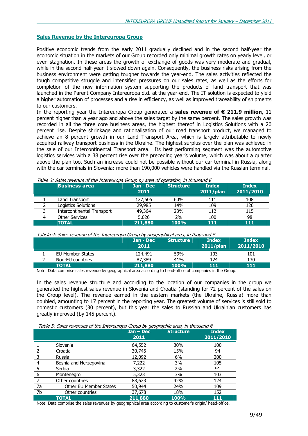### Sales Revenue by the Intereuropa Group

Positive economic trends from the early 2011 gradually declined and in the second half-year the economic situation in the markets of our Group recorded only minimal growth rates on yearly level, or even stagnation. In these areas the growth of exchange of goods was very moderate and gradual, while in the second half-year it slowed down again. Consequently, the business risks arising from the business environment were getting tougher towards the year-end. The sales activities reflected the tough competitive struggle and intensified pressures on our sales rates, as well as the efforts for completion of the new information system supporting the products of land transport that was launched in the Parent Company Intereuropa d.d. at the year-end. The IT solution is expected to yield a higher automation of processes and a rise in efficiency, as well as improved traceability of shipments to our customers.

In the reporting year the Intereuropa Group generated a **sales revenue of**  $\epsilon$  **211.9 million**, 11 percent higher than a year ago and above the sales target by the same percent. The sales growth was recorded in all the three core business areas, the highest thereof in Logistics Solutions with a 20 percent rise. Despite shrinkage and rationalisation of our road transport product, we managed to achieve an 8 percent growth in our Land Transport Area, which is largely attributable to newly acquired railway transport business in the Ukraine. The highest surplus over the plan was achieved in the sale of our Intercontinental Transport area. Its best performing segment was the automotive logistics services with a 38 percent rise over the preceding year's volume, which was about a quarter above the plan too. Such an increase could not be possible without our car terminal in Russia, along with the car terminals in Slovenia: more than 190,000 vehicles were handled via the Russian terminal.

| <b>Business area</b>              | Jan - Dec<br>2011 | <b>Structure</b> | <b>Index</b><br>$2011$ /plan | <b>Index</b><br>2011/2010 |
|-----------------------------------|-------------------|------------------|------------------------------|---------------------------|
| Land Transport                    | 127,505           | 60%              | 111                          | 108                       |
| Logistics Solutions               | 29,985            | 14%              | 109                          | 120                       |
| <b>Intercontinental Transport</b> | 49,364            | 23%              | 112                          | 115                       |
| <b>Other Services</b>             | 5,026             | 2%               | 100                          | 98                        |
| <b>TOTAL</b>                      | 211,880           | 100%             | 111                          | 111                       |

Table 3: Sales revenue of the Intereuropa Group by area of operation, in thousand €

| Tabela 4: Sales revenue of the Intereuropa Group by geographical area, in thousand $\epsilon$ |  |  |
|-----------------------------------------------------------------------------------------------|--|--|
|                                                                                               |  |  |

|                  | Jan - Dec<br>2011 | <b>Structure</b> | <b>Index</b><br>$2011$ /plan | <b>Index</b><br>2011/2010 |
|------------------|-------------------|------------------|------------------------------|---------------------------|
| EU Member States | 124,491           | 59%              | 103                          | 101                       |
| Non-EU countries | 87,389            | 41%              | 124                          | 130                       |
| <b>TOTAL</b>     | 211,880           | 100%             | 111                          | 111                       |

Note: Data comprise sales revenue by geographical area according to head-office of companies in the Group.

In the sales revenue structure and according to the location of our companies in the group we generated the highest sales revenue in Slovenia and Croatia (standing for 72 percent of the sales on the Group level). The revenue earned in the eastern markets (the Ukraine, Russia) more than doubled, amounting to 17 percent in the reporting year. The greatest volume of services is still sold to domestic customers (30 percent), but this year the sales to Russian and Ukrainian customers has greatly improved (by 145 percent).

| Table 5: Sales revenues of the Intereuropa Group by geographic area, in thousand $\epsilon$ |  |  |
|---------------------------------------------------------------------------------------------|--|--|
|                                                                                             |  |  |

|                |                               | .<br>$Jan - Dec$<br>2011 | <b>Structure</b> | <b>Index</b><br>2011/2010 |
|----------------|-------------------------------|--------------------------|------------------|---------------------------|
|                | Slovenia                      | 64,552                   | 30%              | 100                       |
|                | Croatia                       | 30,745                   | 15%              | 94                        |
| 3              | Russia                        | 12,092                   | 6%               | 200                       |
| $\overline{4}$ | Bosnia and Herzegovina        | 7,222                    | 3%               | 105                       |
| 5              | Serbia                        | 3,322                    | 2%               | 91                        |
| 6              | Montenegro                    | 5,323                    | 3%               | 103                       |
|                | Other countries               | 88,623                   | 42%              | 124                       |
| 7a             | <b>Other EU Member States</b> | 50,944                   | 24%              | 109                       |
| 7b             | Other countries               | 37,678                   | 18%              | 152                       |
|                | TOTAL                         | 211,880                  | 100%             | 111                       |

Note: Data comprise the sales revenues by geographical area according to customer's origin/ head-office.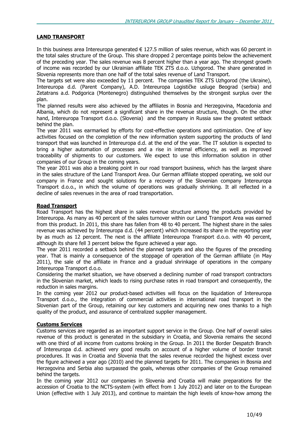### LAND TRANSPORT

In this business area Intereuropa generated  $\in$  127.5 million of sales revenue, which was 60 percent in the total sales structure of the Group. This share dropped 2 percentage points below the achievement of the preceding year. The sales revenue was 8 percent higher than a year ago. The strongest growth of income was recorded by our Ukrainian affiliate TEK ZTS d.o.o. Uzhgorod. The share generated in Slovenia represents more than one half of the total sales revenue of Land Transport.

The targets set were also exceeded by 11 percent. The companies TEK ZTS Uzhgorod (the Ukraine), Intereuropa d.d. (Parent Company), A.D. Intereuropa Logističke usluge Beograd (serbia) and Zetatrans a.d. Podgorica (Montenegro) distinguished themselves by the strongest surplus over the plan.

The planned results were also achieved by the affiliates in Bosnia and Herzegovina, Macedonia and Albania, which do not represent a significant share in the revenue structure, though. On the other hand, Intereuropa Transport d.o.o. (Slovenia) and the company in Russia saw the greatest setback behind the plan.

The year 2011 was earmarked by efforts for cost-effective operations and optimization. One of key activities focused on the completion of the new information system supporting the products of land transport that was launched in Intereuropa d.d. at the end of the year. The IT solution is expected to bring a higher automation of processes and a rise in internal efficiency, as well as improved traceability of shipments to our customers. We expect to use this information solution in other companies of our Group in the coming years.

The year 2011 was also a breaking point in our road transport business, which has the largest share in the sales structure of the Land Transport Area. Our German affiliate stopped operating, we sold our company in France and sought solutions for a recovery of the Slovenian company Intereuropa Transport d.o.o., in which the volume of operations was gradually shrinking. It all reflected in a decline of sales revenues in the area of road transportation.

### Road Transport

Road Transport has the highest share in sales revenue structure among the products provided by Intereuropa. As many as 40 percent of the sales turnover within our Land Transport Area was earned from this product. In 2011, this share has fallen from 48 to 40 percent. The highest share in the sales revenue was achieved by Intereuropa d.d. (44 percent) which increased its share in the reporting year by as much as 12 percent. The next is the affiliate Intereuropa Transport d.o.o. with 40 percent, although its share fell 3 percent below the figure achieved a year ago.

The year 2011 recorded a setback behind the planned targets and also the figures of the preceding year. That is mainly a consequence of the stoppage of operation of the German affiliate (in May 2011), the sale of the affiliate in France and a gradual shrinkage of operations in the company Intereuropa Transport d.o.o.

Considering the market situation, we have observed a declining number of road transport contractors in the Slovenian market, which leads to rising purchase rates in road transport and consequently, the reduction in sales margins.

In the coming year 2012 our product-based activities will focus on the liquidation of Intereuropa Transport d.o.o., the integration of commercial activities in international road transport in the Slovenian part of the Group, retaining our key customers and acquiring new ones thanks to a high quality of the product, and assurance of centralized supplier management.

### Customs Services

Customs services are regarded as an important support service in the Group. One half of overall sales revenue of this product is generated in the subsidiary in Croatia, and Slovenia remains the second with one third of all income from customs broking in the Group. In 2011 the Border Despatch Branch of Intereuropa d.d. achieved very good results on account of a higher volume of border transit procedures. It was in Croatia and Slovenia that the sales revenue recorded the highest excess over the figure achieved a year ago (2010) and the planned targets for 2011. The companies in Bosnia and Herzegovina and Serbia also surpassed the goals, whereas other companies of the Group remained behind the targets.

In the coming year 2012 our companies in Slovenia and Croatia will make preparations for the accession of Croatia to the NCTS-system (with effect from 1 July 2012) and later on to the European Union (effective with 1 July 2013), and continue to maintain the high levels of know-how among the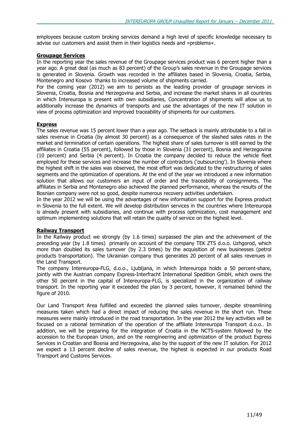employees because custom broking services demand a high level of specific knowledge necessary to advise our customers and assist them in their logistics needs and »problems«.

### Groupage Services

In the reporting year the sales revenue of the Groupage services product was 6 percent higher than a year ago. A great deal (as much as 83 percent) of the Group's sales revenue in the Groupage services is generated in Slovenia. Growth was recorded in the affiliates based in Slovenia, Croatia, Serbia, Montenegro and Kosovo thanks to increased volume of shipments carried.

For the coming year (2012) we aim to persists as the leading provider of groupage services in Slovenia, Croatia, Bosnia and Herzegovina and Serbia, and increase the market shares in all countries in which Intereuropa is present with own subsidiaries, Concentration of shipments will allow us to additionally increase the dynamics of transports and use the advantages of the new IT solution in view of process optimization and improved traceability of shipments for our customers.

### Express

The sales revenue was 15 percent lower than a year ago. The setback is mainly attributable to a fall in sales revenue in Croatia (by almost 30 percent) as a consequence of the slashed sales rates in the market and termination of certain operations. The highest share of sales turnover is still earned by the affiliates in Croatia (55 percent), followed by those in Slovenia (31 percent), Bosnia and Herzegovina (10 percent) and Serbia (4 percent). In Croatia the company decided to reduce the vehicle fleet employed for these services and increase the number of contractors ('outsourcing'). In Slovenia where the highest shift in the sales was observed, the most effort was dedicated to the restructuring of sales segments and the optimization of operations. At the end of the year we introduced a new information solution that allows our customers an input of order and the traceability of consignments. The affiliates in Serbia and Montenegro also achieved the planned performance, whereas the results of the Bosnian company were not so good, despite numerous recovery activities undertaken.

In the year 2012 we will be using the advantages of new information support for the Express product in Slovenia to the full extent. We will develop distribution services in the countries where Intereuropa is already present with subsidiaries, and continue with process optimization, cost management and optimum implementing solutions that will retain the quality of service on the highest level.

### Railway Transport

In the Railway product we strongly (by 1.6 times) surpassed the plan and the achievement of the preceding year (by 1.8 times) primarily on account of the company TEK ZTS d.o.o. Uzhgorod, which more than doubled its sales turnover (by 2.3 times) by the acquisition of new businesses (petrol products transportation). The Ukrainian company thus generates 20 percent of all sales revenues in the Land Transport.

The company Intereuropa-FLG, d.o.o., Ljubljana, in which Intereuropa holds a 50 percent-share, jointly with the Austrian company Express-Interfracht International Spedition GmbH, which owns the other 50 percent in the capital of Intereuropa-FLG, is specialized in the organization of railway transport. In the reporting year it exceeded the plan by 3 percent, however, it remained behind the figure of 2010.

Our Land Transport Area fulfilled and exceeded the planned sales turnover, despite streamlining measures taken which had a direct impact of reducing the sales revenue in the short run. These measures were mainly introduced in the road transportation. In the year 2012 the key activities will be focused on a rational termination of the operation of the affiliate Intereuropa Transport d.o.o.. In addition, we will be preparing for the integration of Croatia in the NCTS-system followed by the accession to the European Union, and on the reengineering and optimization of the product Express Services in Croatian and Bosnia and Herzegovina, also by the support of the new IT solution. For 2012 we expect a 13 percent decline of sales revenue, the highest is expected in our products Road Transport and Customs Services.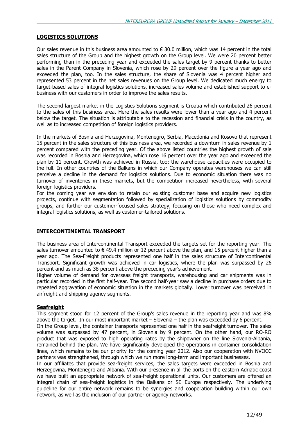### LOGISTICS SOLUTIONS

Our sales revenue in this business area amounted to  $\epsilon$  30.0 million, which was 14 percent in the total sales structure of the Group and the highest growth on the Group level. We were 20 percent better performing than in the preceding year and exceeded the sales target by 9 percent thanks to better sales in the Parent Company in Slovenia, which rose by 29 percent over the figure a year ago and exceeded the plan, too. In the sales structure, the share of Slovenia was 4 percent higher and represented 53 percent in the net sales revenues on the Group level. We dedicated much energy to target-based sales of integral logistics solutions, increased sales volume and established support to ebusiness with our customers in order to improve the sales results.

The second largest market in the Logistics Solutions segment is Croatia which contributed 26 percent to the sales of this business area. Here the sales results were lower than a year ago and 4 percent below the target. The situation is attributable to the recession and financial crisis in the country, as well as to increased competition of foreign logistics providers.

In the markets of Bosnia and Herzegovina, Montenegro, Serbia, Macedonia and Kosovo that represent 15 percent in the sales structure of this business area, we recorded a downturn in sales revenue by 1 percent compared with the preceding year. Of the above listed countries the highest growth of sale was recorded in Bosnia and Herzegovina, which rose 16 percent over the year ago and exceeded the plan by 11 percent. Growth was achieved in Russia, too: the warehouse capacities were occupied to the full. In other countries of the Balkans in which our Company operates warehouses we can still perceive a decline in the demand for logistics solutions. Due to economic situation there was no turnover of inventories in these markets, but the competition increased nevertheless, with several foreign logistics providers.

For the coming year we envision to retain our existing customer base and acquire new logistics projects, continue with segmentation followed by specialization of logistics solutions by commodity groups, and further our customer-focused sales strategy, focusing on those who need complex and integral logistics solutions, as well as customer-tailored solutions.

### INTERCONTINENTAL TRANSPORT

The business area of Intercontinental Transport exceeded the targets set for the reporting year. The sales turnover amounted to  $\in$  49.4 million or 12 percent above the plan, and 15 percent higher than a year ago. The Sea-Freight products represented one half in the sales structure of Intercontinental Transport. Significant growth was achieved in car logistics, where the plan was surpassed by 26 percent and as much as 38 percent above the preceding year's achievement.

Higher volume of demand for overseas freight transports, warehousing and car shipments was in particular recorded in the first half-year. The second half-year saw a decline in purchase orders due to repeated aggravation of economic situation in the markets globally. Lower turnover was perceived in airfreight and shipping agency segments.

### **Seafreight**

This segment stood for 12 percent of the Group's sales revenue in the reporting year and was 8% above the target. In our most important market – Slovenia – the plan was exceeded by 6 percent.

On the Group level, the container transports represented one half in the seafreight turnover. The sales volume was surpassed by 47 percent, in Slovenia by 9 percent. On the other hand, our RO-RO product that was exposed to high operating rates by the shipowner on the line Slovenia-Albania, remained behind the plan. We have significantly developed the operations in container consolidation lines, which remains to be our priority for the coming year 2012. Also our cooperation with NVOCC partners was strengthened, through which we run more long-term and important businesses.

In our affiliates that provide sea-freight services, the sales targets were exceeded in Bosnia and Herzegovina, Montenegro and Albania. With our presence in all the ports on the eastern Adriatic coast we have built an appropriate network of sea-freight operational units. Our customers are offered an integral chain of sea-freight logistics in the Balkans or SE Europe respectively. The underlying guideline for our entire network remains to be synergies and cooperation building within our own network, as well as the inclusion of our partner or agency networks.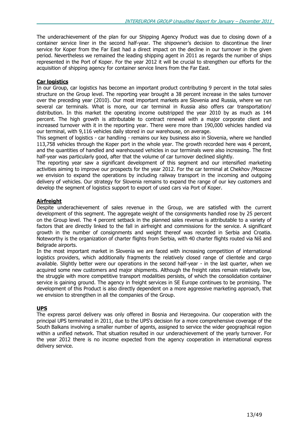The underachievement of the plan for our Shipping Agency Product was due to closing down of a container service liner in the second half-year. The shipowner's decision to discontinue the liner service for Koper from the Far East had a direct impact on the decline in our turnover in the given period. Nevertheless we remained the leading shipping agent in 2011 as regards the number of ships represented in the Port of Koper. For the year 2012 it will be crucial to strengthen our efforts for the acquisition of shipping agency for container service liners from the Far East.

### Car logistics

In our Group, car logistics has become an important product contributing 9 percent in the total sales structure on the Group level. The reporting year brought a 38 percent increase in the sales turnover over the preceding year (2010). Our most important markets are Slovenia and Russia, where we run several car terminals. What is more, our car terminal in Russia also offers car transportation/ distribution. In this market the operating income outstripped the year 2010 by as much as 144 percent. The high growth is attributable to contract renewal with a major corporate client and increased turnover with it in the reporting year. There were more than 190,000 vehicles handled via our terminal, with 9,116 vehicles daily stored in our warehouse, on average.

This segment of logistics - car handling - remains our key business also in Slovenia, where we handled 113,758 vehicles through the Koper port in the whole year. The growth recorded here was 4 percent, and the quantities of handled and warehoused vehicles in our terminals were also increasing. The first half-year was particularly good, after that the volume of car turnover declined slightly.

The reporting year saw a significant development of this segment and our intensified marketing activities aiming to improve our prospects for the year 2012. For the car terminal at Chekhov /Moscow we envision to expand the operations by including railway transport in the incoming and outgoing delivery of vehicles. Our strategy for Slovenia remains to expand the range of our key customers and develop the segment of logistics support to export of used cars via Port of Koper.

### **Airfreight**

Despite underachievement of sales revenue in the Group, we are satisfied with the current development of this segment. The aggregate weight of the consignments handled rose by 25 percent on the Group level. The 4 percent setback in the planned sales revenue is attributable to a variety of factors that are directly linked to the fall in airfreight and commissions for the service. A significant growth in the number of consignments and weight thereof was recorded in Serbia and Croatia. Noteworthy is the organization of charter flights from Serbia, with 40 charter flights routed via Niš and Belgrade airports.

In the most important market in Slovenia we are faced with increasing competition of international logistics providers, which additionally fragments the relatively closed range of clientele and cargo available. Slightly better were our operations in the second half-year - in the last quarter, when we acquired some new customers and major shipments. Although the freight rates remain relatively low, the struggle with more competitive transport modalities persists, of which the consolidation container service is gaining ground. The agency in freight services in SE Europe continues to be promising. The development of this Product is also directly dependent on a more aggressive marketing approach, that we envision to strengthen in all the companies of the Group.

### UPS

The express parcel delivery was only offered in Bosnia and Herzegovina. Our cooperation with the principal UPS terminated in 2011, due to the UPS's decision for a more comprehensive coverage of the South Balkans involving a smaller number of agents, assigned to service the wider geographical region within a unified network. That situation resulted in our underachievement of the yearly turnover. For the year 2012 there is no income expected from the agency cooperation in international express delivery service.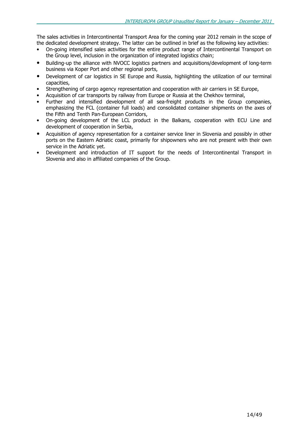The sales activities in Intercontinental Transport Area for the coming year 2012 remain in the scope of the dedicated development strategy. The latter can be outlined in brief as the following key activities:

- On-going intensified sales activities for the entire product range of Intercontinental Transport on the Group level, inclusion in the organization of integrated logistics chain;
- Building-up the alliance with NVOCC logistics partners and acquisitions/development of long-term business via Koper Port and other regional ports,
- Development of car logistics in SE Europe and Russia, highlighting the utilization of our terminal capacities,
- Strengthening of cargo agency representation and cooperation with air carriers in SE Europe,
- Acquisition of car transports by railway from Europe or Russia at the Chekhov terminal,
- Further and intensified development of all sea-freight products in the Group companies, emphasizing the FCL (container full loads) and consolidated container shipments on the axes of the Fifth and Tenth Pan-European Corridors,
- On-going development of the LCL product in the Balkans, cooperation with ECU Line and development of cooperation in Serbia,
- Acquisition of agency representation for a container service liner in Slovenia and possibly in other ports on the Eastern Adriatic coast, primarily for shipowners who are not present with their own service in the Adriatic yet.
- Development and introduction of IT support for the needs of Intercontinental Transport in Slovenia and also in affiliated companies of the Group.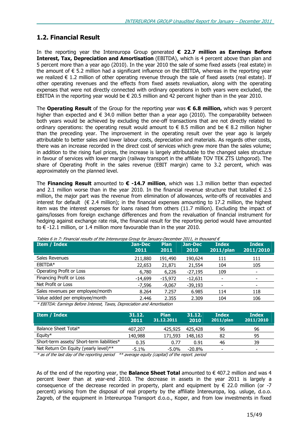### 1.2. Financial Result

In the reporting year the Intereuropa Group generated  $\epsilon$  22.7 million as Earnings Before Interest, Tax, Depreciation and Amortisation (EBITDA), which is 4 percent above than plan and 5 percent more than a year ago (2010). In the year 2010 the sale of some fixed assets (real estate) in the amount of  $\epsilon$  5.2 million had a significant influence on the EBITDA, whereas in the reporting year we realized  $\epsilon$  1.2 million of other operating revenue through the sale of fixed assets (real estate). If other operating revenues and the effects from fixed assets revaluation, along with the operating expenses that were not directly connected with ordinary operations in both years were excluded, the EBITDA in the reporting year would be  $\epsilon$  20.5 million and 42 percent higher than in the year 2010.

The Operating Result of the Group for the reporting year was  $\epsilon$  6.8 million, which was 9 percent higher than expected and  $\epsilon$  34.0 million better than a year ago (2010). The comparability between both years would be achieved by excluding the one-off transactions that are not directly related to ordinary operations: the operating result would amount to  $\epsilon$  8.5 million and be  $\epsilon$  8.2 million higher than the preceding year. The improvement in the operating result over the year ago is largely attributable to better sales and lower labour costs, depreciation and materials. As regards other costs, there was an increase recorded in the direct cost of services which grew more than the sales volume; in addition to the rising fuel prices, the increase is largely attributable to the changed sales structure in favour of services with lower margin (railway transport in the affiliate TOV TEK ZTS Uzhgorod). The share of Operating Profit in the sales revenue (EBIT margin) came to 3.2 percent, which was approximately on the planned level.

The Financing Result amounted to  $\epsilon$  -14.7 million, which was 1.3 million better than expected and 2.1 million worse than in the year 2010. In the financial revenue structure that totalled  $\epsilon$  2.5 million, the major part was the revenue from elimination of allowances, write-offs of receivables and interest for default ( $\epsilon$  2.4 million); in the financial expenses amounting to 17.2 million, the highest item was the interest expenses for loans raised from others (11.7 million). Excluding the impact of gains/losses from foreign exchange differences and from the revaluation of financial instrument for hedging against exchange rate risk, the financial result for the reporting period would have amounted to € -12.1 million, or 1.4 million more favourable than in the year 2010.

| Item / Index                      | Jan-Dec<br>2011 | <b>Plan</b><br>2011 | Jan-Dec<br>2010 | <b>Index</b><br>$2011$ /plan | <b>Index</b><br>2011/2010 |
|-----------------------------------|-----------------|---------------------|-----------------|------------------------------|---------------------------|
| Sales Revenues                    | 211,880         | 191,490             | 190,624         | 111                          | 111                       |
| EBITDA*                           | 22,653          | 21,871              | 21,554          | 104                          | 105                       |
| Operating Profit or Loss          | 6,780           | 6,226               | $-27,195$       | 109                          | $\overline{\phantom{0}}$  |
| Financing Profit or Loss          | $-14,699$       | $-15,972$           | $-12,631$       |                              | $\overline{\phantom{0}}$  |
| Net Profit or Loss                | $-7,596$        | $-9.067$            | $-39,193$       |                              | $\overline{\phantom{a}}$  |
| Sales revenues per employee/month | 8.264           | 7.257               | 6.985           | 114                          | 118                       |
| Value added per employee/month    | 2.446           | 2.355               | 2.309           | 104                          | 106                       |

Tables 6 in 7: Financial results of the Intereuropa Group for January-December 2011, in thousand  $\epsilon$ 

\* EBITDA: Earnings Before Interest, Taxes, Depreciation and Amortisation

| <b>Item / Index</b>                        | 31.12.<br>2011 | <b>Plan</b><br>31.12.2011 | 31.12.<br>2010 | <b>Index</b><br>$2011$ /plan | <b>Index</b><br>2011/2010 |
|--------------------------------------------|----------------|---------------------------|----------------|------------------------------|---------------------------|
| Balance Sheet Total*                       | 407,207        | 425,925                   | 425,428        | 96                           | 96                        |
| Equity $*$                                 | 140,988        | 171,593                   | 148,163        | 82                           | 95                        |
| Short-term assets/ Short-term liabilities* | 0.35           | 0.77                      | 0.91           | 46                           | 39                        |
| Net Return On Equity (yearly level)**      | $-5.1\%$       | $-5.0\%$                  | $-20.8\%$      | $\overline{\phantom{a}}$     | -                         |

\* as of the last day of the reporting period \*\* average equity (capital) of the report. period

As of the end of the reporting year, the **Balance Sheet Total** amounted to  $\epsilon$  407.2 million and was 4 percent lower than at year-end 2010. The decrease in assets in the year 2011 is largely a consequence of the decrease recorded in property, plant and equipment by  $\epsilon$  22.0 million (or -7 percent) arising from the disposal of real property by the affiliate Intereuropa, log. usluge, d.o.o. Zagreb, of the equipment in Intereuropa Transport d.o.o., Koper, and from low investments in fixed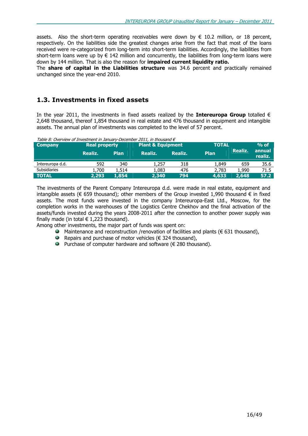assets. Also the short-term operating receivables were down by  $\epsilon$  10.2 million, or 18 percent, respectively. On the liabilities side the greatest changes arise from the fact that most of the loans received were re-categorized from long-term into short-term liabilities. Accordingly, the liabilities from short-term loans were up by  $\epsilon$  142 million and concurrently, the liabilities from long-term loans were down by 144 million. That is also the reason for **impaired current liquidity ratio.** 

The **share of capital in the Liabilities structure** was 34.6 percent and practically remained unchanged since the year-end 2010.

### 1.3. Investments in fixed assets

In the year 2011, the investments in fixed assets realized by the **Intereuropa Group** totalled  $\epsilon$ 2,648 thousand, thereof 1,854 thousand in real estate and 476 thousand in equipment and intangible assets. The annual plan of investments was completed to the level of 57 percent.

| Table 8: Overview of Investment in January-December 2011, in thousand $\epsilon$ |                      |                              |         |              |             |         |                   |  |  |
|----------------------------------------------------------------------------------|----------------------|------------------------------|---------|--------------|-------------|---------|-------------------|--|--|
| <b>Company</b>                                                                   | <b>Real property</b> | <b>Plant &amp; Equipment</b> |         | <b>TOTAL</b> | $%$ of      |         |                   |  |  |
|                                                                                  | Realiz.              | <b>Plan</b>                  | Realiz. | Realiz.      | <b>Plan</b> | Realiz. | annual<br>realiz. |  |  |
| Intereuropa d.d.                                                                 | 592                  | 340                          | 1,257   | 318          | 1,849       | 659     | 35.6              |  |  |
| <b>Subsidiaries</b>                                                              | 1,700                | 1,514                        | 1,083   | 476          | 2,783       | 1,990   | 71.5              |  |  |
| <b>TOTAL</b>                                                                     | 2.293                | 1,854                        | 2,340   | 794          | 4,633       | 2,648   | 57.2              |  |  |

The investments of the Parent Company Intereuropa d.d. were made in real estate, equipment and intangible assets ( $\epsilon$  659 thousand); other members of the Group invested 1,990 thousand  $\epsilon$  in fixed assets. The most funds were invested in the company Intereuropa-East Ltd., Moscow, for the completion works in the warehouses of the Logistics Centre Chekhov and the final activation of the assets/funds invested during the years 2008-2011 after the connection to another power supply was finally made (in total  $\in$  1,223 thousand).

Among other investments, the major part of funds was spent on:

- $\bullet$  Maintenance and reconstruction /renovation of facilities and plants (€ 631 thousand),
- Repairs and purchase of motor vehicles ( $\epsilon$  324 thousand),
- Purchase of computer hardware and software ( $€$  280 thousand).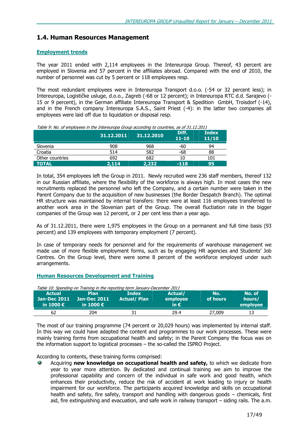### 1.4. Human Resources Management

### Employment trends

The year 2011 ended with 2,114 employees in the Intereuropa Group. Thereof, 43 percent are employed in Slovenia and 57 percent in the affiliates abroad. Compared with the end of 2010, the number of personnel was cut by 5 percent or 118 employees resp.

The most redundant employees were in Intereuropa Transport d.o.o. (-54 or 32 percent less); in Intereuropa, Logističke usluge, d.o.o., Zagreb (-68 or 12 percent); in Intereuropa RTC d.d. Sarajevo (- 15 or 9 percent), in the German affiliate Intereuropa Transport & Spedition GmbH, Troisdorf (-14), and in the French company Intereuropa S.A.S., Saint Priest (-4): in the latter two companies all employees were laid off due to liquidation or disposal resp.

| Table 9: No. of employees in the Intereuropa Group according to countries, as of 31.12.2011 |            |            |                    |                       |  |  |  |
|---------------------------------------------------------------------------------------------|------------|------------|--------------------|-----------------------|--|--|--|
|                                                                                             | 31.12.2011 | 31.12.2010 | Diff.<br>$11 - 10$ | <b>Index</b><br>11/10 |  |  |  |
| Slovenia                                                                                    | 908        | 968        | -60                | 94                    |  |  |  |
| Croatia                                                                                     | 514        | 582        | -68                | 88                    |  |  |  |
| Other countries                                                                             | 692        | 682        | 10                 | 101                   |  |  |  |
| <b>TOTAL</b>                                                                                | 2,114      | 2,232      | $-118$             | 95                    |  |  |  |

In total, 354 employees left the Group in 2011. Newly recruited were 236 staff members, thereof 132 in our Russian affiliate, where the flexibility of the workforce is always high. In most cases the new recruitments replaced the personnel who left the Company, and a certain number were taken in the Parent Company due to the acquisition of new businesses (the Border Despatch Branch). The optimal HR structure was maintained by internal transfers: there were at least 116 employees transferred to another work area in the Slovenian part of the Group. The overall fluctiation rate in the bigger companies of the Group was 12 percent, or 2 per cent less than a year ago.

As of 31.12.2011, there were 1,975 employees in the Group on a permanent and full time basis (93 percent) and 139 employees with temporary employment (7 percent).

In case of temporary needs for personnel and for the requirements of warehouse management we made use of more flexible employment forms, such as by engaging HR agencies and Students' Job Centres. On the Group level, there were some 8 percent of the workforce employed under such arrangements.

### Human Resources Development and Training

| Table 10: Spending on Training in the reporting term January-December 2011 |                     |                    |               |          |          |
|----------------------------------------------------------------------------|---------------------|--------------------|---------------|----------|----------|
| <b>Actual</b>                                                              | <b>Plan</b>         | Index              | Actual/       | No.      | No. of   |
| <b>Jan-Dec 2011</b>                                                        | <b>Jan-Dec 2011</b> | <b>Actual/Plan</b> | employee      | of hours | hours/   |
| in 1000 $\epsilon$                                                         | in 1000 $\epsilon$  |                    | in $\epsilon$ |          | employee |
| 62                                                                         | 204                 |                    | 29.4          | 27,009   |          |

The most of our training programme (74 percent or 20,029 hours) was implemented by internal staff. In this way we could have adapted the content and programmes to our work processes. These were mainly training forms from occupational health and safety; in the Parent Company the focus was on the information support to logistical processes – the so-called the ISPRO Project.

### According to contents, these training forms comprised:

Acquiring new knowledge on occupational health and safety, to which we dedicate from year to year more attention. By dedicated and continual training we aim to improve the professional capability and concern of the individual in safe work and good health, which enhances their productivity, reduce the risk of accident at work leading to injury or health impairment for our workforce. The participants acquired knowledge and skills on occupational health and safety, fire safety, transport and handling with dangerous goods – chemicals, first aid, fire extinguishing and evacuation, and safe work in railway transport – siding rails. The a.m.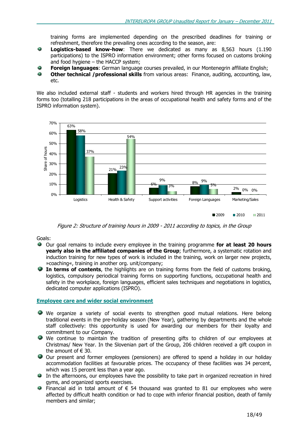training forms are implemented depending on the prescribed deadlines for training or refreshment, therefore the prevailing ones according to the season, are:

- Ŵ Logistics-based know-how: There we dedicated as many as 8,563 hours (1.190 participations) to the ISPRO information environment; other forms focused on customs broking and food hygiene – the HACCP system;
- ه **Foreign languages:** German language courses prevailed, in our Montenegrin affiliate English;
- ۵ Other technical /professional skills from various areas: Finance, auditing, accounting, law, etc.

We also included external staff - students and workers hired through HR agencies in the training forms too (totalling 218 participations in the areas of occupational health and safety forms and of the ISPRO information system).



Figure 2: Structure of training hours in 2009 - 2011 according to topics, in the Group

Goals:

- Our goal remains to include every employee in the training programme for at least 20 hours yearly also in the affiliated companies of the Group; furthermore, a systematic rotation and induction training for new types of work is included in the training, work on larger new projects, »coaching«, training in another org. unit/company;
- $\bullet$  In terms of contents, the highlights are on training forms from the field of customs broking, logistics, compulsory periodical training forms on supporting functions, occupational health and safety in the workplace, foreign languages, efficient sales techniques and negotiations in logistics, dedicated computer applications (ISPRO).

### Employee care and wider social environment

- We organize a variety of social events to strengthen good mutual relations. Here belong traditional events in the pre-holiday season (New Year), gathering by departments and the whole staff collectively: this opportunity is used for awarding our members for their loyalty and commitment to our Company.
- We continue to maintain the tradition of presenting gifts to children of our employees at Christmas/ New Year. In the Slovenian part of the Group, 206 children received a gift coupon in the amount of  $\in$  30.
- Our present and former employees (pensioners) are offered to spend a holiday in our holiday accommodation facilities at favourable prices. The occupancy of these facilities was 34 percent, which was 15 percent less than a year ago.
- In the afternoons, our employees have the possibility to take part in organized recreation in hired gyms, and organized sports exercises.
- Financial aid in total amount of  $\epsilon$  54 thousand was granted to 81 our employees who were affected by difficult health condition or had to cope with inferior financial position, death of family members and similar;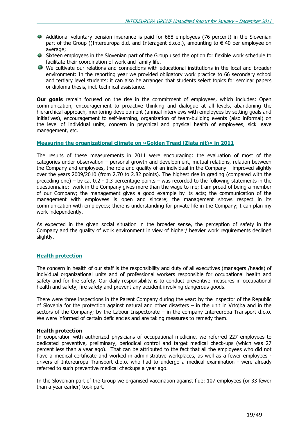- Additional voluntary pension insurance is paid for 688 employees (76 percent) in the Slovenian part of the Group ((Intereuropa d.d. and Interagent d.o.o.), amounting to  $\epsilon$  40 per employee on average;
- Sixteen employees in the Slovenian part of the Group used the option for flexible work schedule to facilitate their coordination of work and family life.
- We cultivate our relations and connections with educational institutions in the local and broader environment: In the reporting year we provided obligatory work practice to 66 secondary school and tertiary level students; it can also be arranged that students select topics for seminar papers or diploma thesis, incl. technical assistance.

**Our goals** remain focused on the rise in the commitment of employees, which includes: Open communication, encouragement to proactive thinking and dialogue at all levels, abandoning the hierarchical approach, mentoring development (annual interviews with employees by setting goals and initiatives), encouragement to self-learning, organization of team-building events (also informal) on the level of individual units, concern in psychical and physical health of employees, sick leave management, etc.

### Measuring the organizational climate on »Golden Tread (Zlata nit)« in 2011

The results of these measurements in 2011 were encouraging: the evaluation of most of the categories under observation – personal growth and development, mutual relations, relation between the Company and employees, the role and quality of an individual in the Company – improved slightly over the years 2009/2010 (from 2.70 to 2.82 points). The highest rise in grading (compared with the preceding one) – by ca. 0.2 - 0.3 percentage points – was recorded to the following statements in the questionnaire: work in the Company gives more than the wage to me; I am proud of being a member of our Company; the management gives a good example by its acts; the communication of the management with employees is open and sincere; the management shows respect in its communication with employees; there is understanding for private life in the Company; I can plan my work independently.

As expected in the given social situation in the broader sense, the perception of safety in the Company and the quality of work environment in view of higher/ heavier work requirements declined slightly.

### Health protection

The concern in health of our staff is the responsibility and duty of all executives (managers /heads) of individual organizational units and of professional workers responsible for occupational health and safety and for fire safety. Our daily responsibility is to conduct preventive measures in occupational health and safety, fire safety and prevent any accident involving dangerous goods.

There were three inspections in the Parent Company during the year: by the inspector of the Republic of Slovenia for the protection against natural and other disasters – in the unit in Vrtojba and in the sectors of the Company; by the Labour Inspectorate – in the company Intereuropa Transport d.o.o. We were informed of certain deficiencies and are taking measures to remedy them.

### Health protection

In cooperation with authorized physicians of occupational medicine, we referred 227 employees to dedicated preventive, preliminary, periodical control and target medical check-ups (which was 27 percent less than a year ago). That can be attributed to the fact that all the employees who did not have a medical certificate and worked in administrative workplaces, as well as a fewer employees drivers of Intereuropa Transport d.o.o. who had to undergo a medical examination - were already referred to such preventive medical checkups a year ago.

In the Slovenian part of the Group we organised vaccination against flue: 107 employees (or 33 fewer than a year earlier) took part.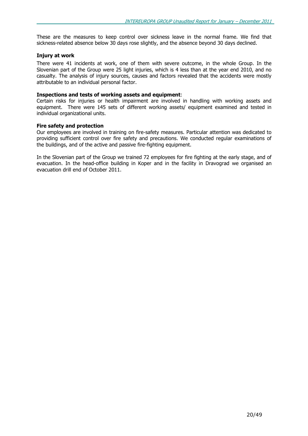These are the measures to keep control over sickness leave in the normal frame. We find that sickness-related absence below 30 days rose slightly, and the absence beyond 30 days declined.

### Injury at work

There were 41 incidents at work, one of them with severe outcome, in the whole Group. In the Slovenian part of the Group were 25 light injuries, which is 4 less than at the year end 2010, and no casualty. The analysis of injury sources, causes and factors revealed that the accidents were mostly attributable to an individual personal factor.

### Inspections and tests of working assets and equipment:

Certain risks for injuries or health impairment are involved in handling with working assets and equipment. There were 145 sets of different working assets/ equipment examined and tested in individual organizational units.

### Fire safety and protection

Our employees are involved in training on fire-safety measures. Particular attention was dedicated to providing sufficient control over fire safety and precautions. We conducted regular examinations of the buildings, and of the active and passive fire-fighting equipment.

In the Slovenian part of the Group we trained 72 employees for fire fighting at the early stage, and of evacuation. In the head-office building in Koper and in the facility in Dravograd we organised an evacuation drill end of October 2011.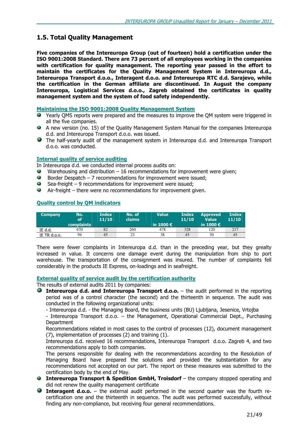### 1.5. Total Quality Management

Five companies of the Intereuropa Group (out of fourteen) hold a certification under the ISO 9001:2008 Standard. There are 73 percent of all employees working in the companies with certification for quality management. The reporting year passed in the effort to maintain the certificates for the Quality Management System in Intereuropa d.d., Intereuropa Transport d.o.o., Interagent d.o.o. and Intereuropa RTC d.d. Sarajevo, while the certification in the German affiliate are discontinued. In August the company Intereuropa, Logistical Services d.o.o., Zagreb obtained the certificates in quality management system and the system of food safety independently.

### Maintaining the ISO 9001:2008 Quality Management System

- Yearly QMS reports were prepared and the measures to improve the QM system were triggered in all the five companies.
- A new version (no. 15) of the Quality Management System Manual for the companies Intereuropa d.d. and Intereuropa Transport d.o.o. was issued.
- The half-yearly audit of the management system in Intereuropa d.d. and Intereuropa Transport d.o.o. was conducted.

### Internal quality of service auditing

In Intereuropa d.d. we conducted internal process audits on:

- $\bullet$  Warehousing and distribution  $-16$  recommendations for improvement were given;
- $\bullet$  Border Despatch 7 recommendations for improvement were issued;
- Sea-freight 9 recommendations for improvement were issued;
- $\bullet$  Air-freight there were no recommendations for improvement given.

### Quality control by QM indicators

| <b>Company</b> | No.<br><b>of</b>  | <b>Index</b><br>11/10 | No. of<br><b>claims</b> | <b>Value</b>       | <b>Index</b><br>11/10 | <b>Approved</b><br><b>Value</b> | <b>Index</b><br>11/10 |
|----------------|-------------------|-----------------------|-------------------------|--------------------|-----------------------|---------------------------------|-----------------------|
|                | <b>complaints</b> |                       |                         | in 1000 $\epsilon$ |                       | in 1000 $\epsilon$              |                       |
| IE d.d.        | 670               | 82                    | 260                     | 478                | 328                   | 120                             | 217                   |
| IE TR d.o.o.   | 94                | 45                    | 23                      | 38                 | 45                    | 30                              | 45                    |

There were fewer complaints in Intereuropa d.d. than in the preceding year, but they grealty increased in value. It concerns one damage event during the manipulation from ship to port warehouse. The transportation of the consignment was insured. The number of complaints fell considerably in the products IE Express, on-loadings and in seafreight.

### External quality of service audit by the certification authority

The results of external audits 2011 by companies:

- **Intereuropa d.d. and Intereuropa Transport d.o.o.**  $-$  the audit performed in the reporting period was of a control character (the second) and the thirteenth in sequence. The audit was conducted in the following organizational units:
	- Intereuropa d.d. the Managing Board, the business units (BU) Ljubljana, Jesenice, Vrtojba

- Intereuropa Transport d.o.o. – the Management, Operational Commercial Dept., Purchasing Department

Recommendations related in most cases to the control of processes (12), document management (7), implementation of processes (2) and training (1).

Intereuropa d.d. received 16 recommendations, Intereuropa Transport d.o.o. Zagreb 4, and two recommendations apply to both companies.

The persons responsible for dealing with the recommendations according to the Resolution of Managing Board have prepared the solutions and provided the substantiation for any recommendations not accepted on our part. The report on these measures was submitted to the certification body by the end of May.

- **Intereuropa Transport & Spedition GmbH, Troisdorf** the company stopped operating and did not renew the quality management certificate
- **Interagent d.o.o.** the external audit performed in the second quarter was the fourth recertification one and the thirteenth in sequence. The audit was performed successfully, without finding any non-compliance, but receiving four general recommendations.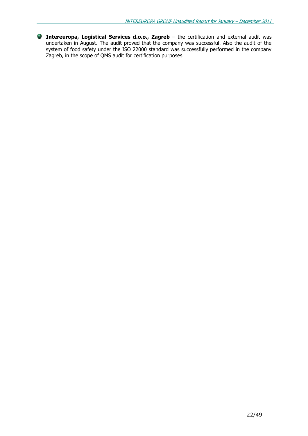Intereuropa, Logistical Services d.o.o., Zagreb – the certification and external audit was undertaken in August. The audit proved that the company was successful. Also the audit of the system of food safety under the ISO 22000 standard was successfully performed in the company Zagreb, in the scope of QMS audit for certification purposes.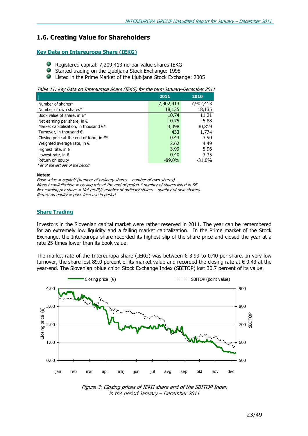### 1.6. Creating Value for Shareholders

### Key Data on Intereuropa Share (IEKG)

- Registered capital: 7,209,413 no-par value shares IEKG
- Started trading on the Ljubljana Stock Exchange: 1998
- 9 Listed in the Prime Market of the Ljubljana Stock Exchange: 2005

Table 11: Key Data on Intereuropa Share (IEKG) for the term January-December 2011

|                                                   | 2011      | 2010      |
|---------------------------------------------------|-----------|-----------|
| Number of shares*                                 | 7,902,413 | 7,902,413 |
| Number of own shares*                             | 18,135    | 18,135    |
| Book value of share, in $\in^*$                   | 10.74     | 11.21     |
| Net earning per share, in $\epsilon$              | $-0.75$   | $-5.88$   |
| Market capitalisation, in thousand $\in^*$        | 3,398     | 30,819    |
| Turnover, in thousand $\epsilon$                  | 433       | 1,774     |
| Closing price at the end of term, in $\epsilon^*$ | 0.43      | 3.90      |
| Weighted average rate, in $\epsilon$              | 2.62      | 4.49      |
| Highest rate, in $\epsilon$                       | 3.99      | 5.96      |
| Lowest rate, in $\epsilon$                        | 0.40      | 3.35      |
| Return on equity                                  | $-89.0\%$ | $-31.0\%$ |
| * as of the last day of the period                |           |           |

#### Notes:

Book value = capital/ (number of ordinary shares – number of own shares) Market capitalisation = closing rate at the end of period  $*$  number of shares listed in SE Net earning per share = Net profit/( number of ordinary shares – number of own shares) Return on equity = price increase in period

### Share Trading

Investors in the Slovenian capital market were rather reserved in 2011. The year can be remembered for an extremely low liquidity and a falling market capitalization. In the Prime market of the Stock Exchange, the Intereuropa share recorded its highest slip of the share price and closed the year at a rate 25-times lower than its book value.

The market rate of the Intereuropa share (IEKG) was between  $\epsilon$  3.99 to 0.40 per share. In very low turnover, the share lost 89.0 percent of its market value and recorded the closing rate at € 0.43 at the year-end. The Slovenian »blue chip« Stock Exchange Index (SBITOP) lost 30.7 percent of its value.



Figure 3: Closing prices of IEKG share and of the SBITOP Index in the period January – December 2011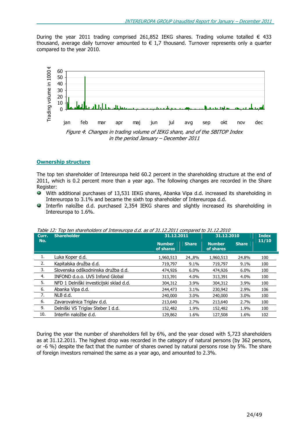During the year 2011 trading comprised 261,852 IEKG shares. Trading volume totalled  $\epsilon$  433 thousand, average daily turnover amounted to  $\in$  1,7 thousand. Turnover represents only a quarter compared to the year 2010.



### Ownership structure

The top ten shareholder of Intereuropa held 60.2 percent in the shareholding structure at the end of 2011, which is 0.2 percent more than a year ago. The following changes are recorded in the Share Register:

- With additional purchases of 13,531 IEKG shares, Abanka Vipa d.d. increased its shareholding in Intereuropa to 3.1% and became the sixth top shareholder of Intereuropa d.d.
- Interfin naložbe d.d. purchased 2,354 IEKG shares and slightly increased its shareholding in Intereuropa to 1.6%.

| Curr. | <b>Shareholder</b><br>31.12.2011        |                            |              | 31.12.2010                 | <b>Index</b> |       |
|-------|-----------------------------------------|----------------------------|--------------|----------------------------|--------------|-------|
| No.   |                                         | <b>Number</b><br>of shares | <b>Share</b> | <b>Number</b><br>of shares | <b>Share</b> | 11/10 |
| 1.    | Luka Koper d.d.                         | 1,960,513                  | 24.,8%       | 1,960,513                  | 24.8%        | 100   |
| 2.    | Kapitalska družba d.d.                  | 719,797                    | 9.1%         | 719,797                    | 9.1%         | 100   |
| 3.    | Slovenska odškodninska družba d.d.      | 474,926                    | 6.0%         | 474,926                    | 6.0%         | 100   |
| 4.    | INFOND d.o.o. UVS Infond Global         | 313,391                    | 4.0%         | 313,391                    | 4.0%         | 100   |
| 5.    | NFD 1 Delniški investicijski sklad d.d. | 304,312                    | 3.9%         | 304,312                    | 3.9%         | 100   |
| 6.    | Abanka Vipa d.d.                        | 244,473                    | 3.1%         | 230,942                    | 2.9%         | 106   |
| 7.    | NLB d.d.                                | 240,000                    | $3.0\%$      | 240,000                    | 3.0%         | 100   |
| 6.    | Zavarovalnica Triglay d.d.              | 213,640                    | 2.7%         | 213,640                    | 2.7%         | 100   |
| 9.    | Delniški VS Triglav Steber I d.d.       | 152,482                    | 1.9%         | 152,482                    | 1.9%         | 100   |
| 10.   | Interfin naložbe d.d.                   | 129,862                    | 1.6%         | 127,508                    | 1.6%         | 102   |

Table 12: Top ten shareholders of Intereuropa d.d. as of 31.12.2011 compared to 31.12.2010

During the year the number of shareholders fell by 6%, and the year closed with 5,723 shareholders as at 31.12.2011. The highest drop was recorded in the category of natural persons (by 362 persons, or -6 %) despite the fact that the number of shares owned by natural persons rose by 5%. The share of foreign investors remained the same as a year ago, and amounted to 2.3%.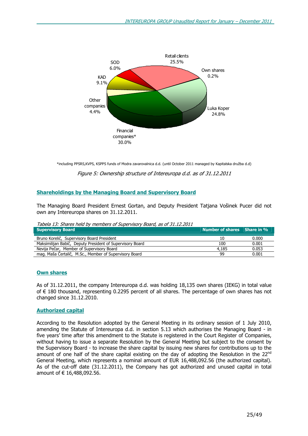

\*including PPSRS,KVPS, KSPPS funds of Modra zavarovalnica d.d. (until October 2011 managed by Kapitalska družba d.d)

Figure 5: Ownership structure of Intereuropa d.d. as of 31.12.2011

### Shareholdings by the Managing Board and Supervisory Board

The Managing Board President Ernest Gortan, and Deputy President Tatjana Vošinek Pucer did not own any Intereuropa shares on 31.12.2011.

Tabela 13: Shares held by members of Supervisory Board, as of 31.12.2011

| <b>Supervisory Board</b>                                  | Number of shares Share in % |       |
|-----------------------------------------------------------|-----------------------------|-------|
| Bruno Korelič, Supervisory Board President                | 10                          | 0.000 |
| Maksimilijan Babič, Deputy President of Supervisory Board | 100                         | 0.001 |
| Nevija Pečar, Member of Supervisory Board                 | 4.185                       | 0.053 |
| mag. Maša Čertalič, M.Sc., Member of Supervisory Board    | 99                          | 0.001 |

### **Own shares**

As of 31.12.2011, the company Intereuropa d.d. was holding 18,135 own shares (IEKG) in total value of € 180 thousand, representing 0.2295 percent of all shares. The percentage of own shares has not changed since 31.12.2010.

### Authorized capital

According to the Resolution adopted by the General Meeting in its ordinary session of 1 July 2010, amending the Statute of Intereuropa d.d. in section 5.13 which authorises the Managing Board - in five years' time after this amendment to the Statute is registered in the Court Register of Companies, without having to issue a separate Resolution by the General Meeting but subject to the consent by the Supervisory Board - to increase the share capital by issuing new shares for contributions up to the amount of one half of the share capital existing on the day of adopting the Resolution in the 22<sup>nd</sup> General Meeting, which represents a nominal amount of EUR 16,488,092.56 (the authorized capital). As of the cut-off date (31.12.2011), the Company has got authorized and unused capital in total amount of € 16,488,092.56.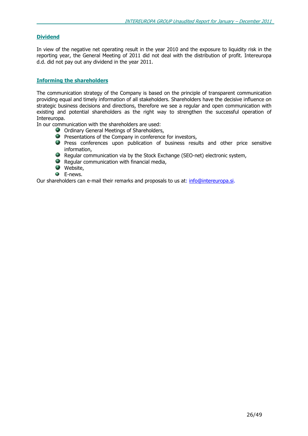### Dividend

In view of the negative net operating result in the year 2010 and the exposure to liquidity risk in the reporting year, the General Meeting of 2011 did not deal with the distribution of profit. Intereuropa d.d. did not pay out any dividend in the year 2011.

### Informing the shareholders

The communication strategy of the Company is based on the principle of transparent communication providing equal and timely information of all stakeholders. Shareholders have the decisive influence on strategic business decisions and directions, therefore we see a regular and open communication with existing and potential shareholders as the right way to strengthen the successful operation of Intereuropa.

In our communication with the shareholders are used:

- **O** Ordinary General Meetings of Shareholders,
- 衡 Presentations of the Company in conference for investors,
- **P** Press conferences upon publication of business results and other price sensitive information,
- Regular communication via by the Stock Exchange (SEO-net) electronic system,
- **Reqular communication with financial media,**
- **Website**,
- $\bullet$  E-news.

Our shareholders can e-mail their remarks and proposals to us at: info@intereuropa.si.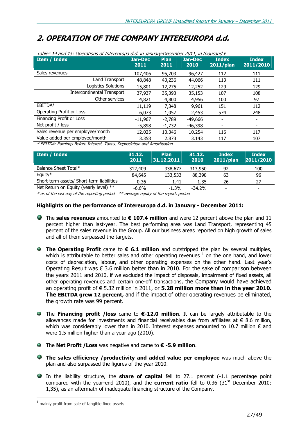## 2. OPERATION OF THE COMPANY INTEREUROPA d.d.

| Tables 14 and 15: Operations of Intereuropa d.d. in January-December 2011, in thousand $\epsilon$ |                 |                     |                 |                              |                           |  |  |
|---------------------------------------------------------------------------------------------------|-----------------|---------------------|-----------------|------------------------------|---------------------------|--|--|
| <b>Item / Index</b>                                                                               | Jan-Dec<br>2011 | <b>Plan</b><br>2011 | Jan-Dec<br>2010 | <b>Index</b><br>$2011$ /plan | <b>Index</b><br>2011/2010 |  |  |
| Sales revenues                                                                                    | 107,406         | 95,703              | 96,427          | 112                          | 111                       |  |  |
| Land Transport                                                                                    | 48,848          | 43,236              | 44,066          | 113                          | 111                       |  |  |
| Logistics Solutions                                                                               | 15,801          | 12,275              | 12,252          | 129                          | 129                       |  |  |
| <b>Intercontinental Transport</b>                                                                 | 37,937          | 35,393              | 35,153          | 107                          | 108                       |  |  |
| Other services                                                                                    | 4,821           | 4,800               | 4,956           | 100                          | 97                        |  |  |
| EBITDA*                                                                                           | 11,119          | 7,348               | 9,961           | 151                          | 112                       |  |  |
| Operating Profit or Loss                                                                          | 6,073           | 1,057               | 2,453           | 574                          | 248                       |  |  |
| Financing Profit or Loss                                                                          | $-11.967$       | $-2.789$            | -49,666         | ٠                            |                           |  |  |
| Net profit / loss                                                                                 | $-5,898$        | $-1,732$            | -46,398         |                              |                           |  |  |
| Sales revenue per employee/month                                                                  | 12.025          | 10.346              | 10.254          | 116                          | 117                       |  |  |
| Value added per employee/month                                                                    | 3.358           | 2.873               | 3.143           | 117                          | 107                       |  |  |
| * FRITDA: Farnings Before Interest Taxes, Depreciation and Amortisation                           |                 |                     |                 |                              |                           |  |  |

<sup>-</sup> Farnings Before Interest, Taxes, Depreciation and Amortisation

| <b>Item / Index</b>                       | 31.12.<br>2011 | <b>Plan</b><br>31.12.2011 | 31.12.<br>2010 | <b>Index</b><br>2011/plan | <b>Index</b><br>2011/2010 |
|-------------------------------------------|----------------|---------------------------|----------------|---------------------------|---------------------------|
| Balance Sheet Total*                      | 312,409        | 338,677                   | 313,950        | 92                        | 100                       |
| Equity $*$                                | 84,645         | 133,533                   | 88,398         | 63                        | 96                        |
| Short-term assets/ Short-term liabilities | 0.36           | 1.41                      | 1.35           | 26                        | 27                        |
| Net Return on Equity (yearly level) **    | $-6.6\%$       | $-1.3%$                   | $-34.2%$       | $\overline{\phantom{0}}$  | $\overline{\phantom{0}}$  |

\* as of the last day of the reporting period \*\* average equity of the report. period

### Highlights on the performance of Intereuropa d.d. in January - December 2011:

- The sales revenues amounted to  $\epsilon$  107.4 million and were 12 percent above the plan and 11 percent higher than last-year. The best performing area was Land Transport, representing 45 percent of the sales revenue in the Group. All our business areas reported on high growth of sales and all of them surpassed the targets.
- **The Operating Profit** came to  $\epsilon$  6.1 million and outstripped the plan by several multiples, which is attributable to better sales and other operating revenues  $^1$  on the one hand, and lower costs of depreciation, labour, and other operating expenses on the other hand. Last year's Operating Result was  $\epsilon$  3.6 million better than in 2010. For the sake of comparison between the years 2011 and 2010, if we excluded the impact of disposals, impairment of fixed assets, all other operating revenues and certain one-off transactions, the Company would have achieved an operating profit of  $\epsilon$  5.32 million in 2011, or **5.28 million more than in the year 2010.** The EBITDA grew 12 percent, and if the impact of other operating revenues be eliminated, the growth rate was 99 percent.
- **■** The Financing profit / loss came to €-12.0 million. It can be largely attributable to the allowances made for investments and financial receivables due from affiliates at  $\epsilon$  8.6 million, which was considerably lower than in 2010. Interest expenses amounted to 10.7 million  $\epsilon$  and were 1.5 million higher than a year ago (2010).
- **■** The **Net Profit / Loss** was negative and came to € -5.9 million.
- The sales efficiency /productivity and added value per employee was much above the plan and also surpassed the figures of the year 2010.
- In the liability structure, the **share of capital** fell to 27.1 percent (-1.1 percentage point compared with the year-end 2010), and the **current ratio** fell to  $0.36$  ( $31<sup>st</sup>$  December 2010: 1,35), as an aftermath of inadequate financing structure of the Company.

l.

 $<sup>1</sup>$  mainly profit from sale of tangible fixed assets</sup>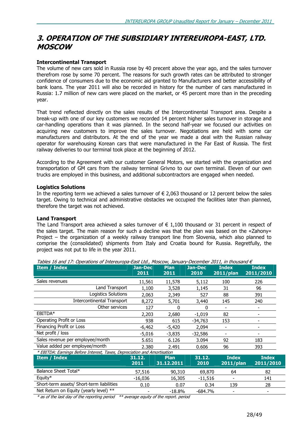### 3. OPERATION OF THE SUBSIDIARY INTEREUROPA-EAST, LTD. MOSCOW

### Intercontinental Transport

The volume of new cars sold in Russia rose by 40 precent above the year ago, and the sales turnover therefrom rose by some 70 percent. The reasons for such growth rates can be attributed to stronger confidence of consumers due to the economic aid granted to Manufacturers and better accessibility of bank loans. The year 2011 will also be recorded in history for the number of cars manufactured in Russia: 1.7 million of new cars were placed on the market, or 45 percent more than in the preceding year.

That trend reflected directly on the sales results of the Intercontinental Transport area. Despite a break-up with one of our key customers we recorded 14 percent higher sales turnover in storage and car-handling operations than it was planned. In the second half-year we focused our activities on acquiring new customers to improve the sales turnover. Negotiations are held with some car manufacturers and distributors. At the end of the year we made a deal with the Russian railway operator for warehousing Korean cars that were manufactured in the Far East of Russia. The first railway deliveries to our terminal took place at the beginning of 2012.

According to the Agreement with our customer General Motors, we started with the organization and transportation of GM cars from the railway terminal Grivno to our own terminal. Eleven of our own trucks are employed in this business, and additional subcontractors are engaged when needed.

### Logistics Solutions

In the reporting term we achieved a sales turnover of  $\epsilon$  2,063 thousand or 12 percent below the sales target. Owing to technical and administrative obstacles we occupied the facilities later than planned, therefore the target was not achieved.

### Land Transport

The Land Transport area achieved a sales turnover of  $\epsilon$  1,100 thousand or 31 percent in respect of the sales target. The main reason for such a decline was that the plan was based on the «Zahony« Project – the organization of a weekly railway transport line from Slovenia, which also planned to comprise the (consolidated) shipments from Italy and Croatia bound for Russia. Regretfully, the project was not put to life in the year 2011.

| <b>Item / Index</b>                                                      | <b>Jan-Dec</b><br>2011 | <b>Plan</b><br>2011       | <b>Jan-Dec</b><br>2010 | <b>Index</b><br>$2011$ /plan | <b>Index</b><br>2011/2010 |
|--------------------------------------------------------------------------|------------------------|---------------------------|------------------------|------------------------------|---------------------------|
| Sales revenues                                                           | 11,561                 | 11,578                    | 5,112                  | 100                          | 226                       |
| Land Transport                                                           | 1,100                  | 3,528                     | 1,145                  | 31                           | 96                        |
| Logistics Solutions                                                      | 2,063                  | 2,349                     | 527                    | 88                           | 391                       |
| <b>Intercontinental Transport</b>                                        | 8,272                  | 5,701                     | 3,440                  | 145                          | 240                       |
| Other services                                                           | 127                    | 0                         | O                      |                              |                           |
| EBITDA*                                                                  | 2,203                  | 2,680                     | $-1,019$               | 82                           |                           |
| Operating Profit or Loss                                                 | 938                    | 615                       | -34,763                | 153                          | $\overline{\phantom{a}}$  |
| Financing Profit or Loss                                                 | $-6,462$               | $-5,420$                  | 2,094                  |                              |                           |
| Net profit / loss                                                        | $-5,016$               | $-3,835$                  | $-32,586$              |                              |                           |
| Sales revenue per employee/month                                         | 5.651                  | 6.126                     | 3.094                  | 92                           | 183                       |
| Value added per employee/month                                           | 2.380                  | 2.491                     | 0.606                  | 96                           | 393                       |
| * EBITDA: Earnings Before Interest, Taxes, Depreciation and Amortisation |                        |                           |                        |                              |                           |
| Item / Index                                                             | 31.12.<br>2011         | <b>Plan</b><br>31.12.2011 | 31.12.<br>2010         | <b>Index</b><br>2011/plan    | <b>Index</b><br>2011/2010 |
| Balance Sheet Total*                                                     | 57,516                 | 90,310                    | 69,870                 | 64                           | 82                        |
| Equity*                                                                  | $-16,036$              | 16,305                    | $-11,516$              |                              | 141                       |
| Short-term assets/ Short-term liabilities                                | 0.10                   | 0.07                      | 0.34                   | 139                          | 28                        |
| Net Return on Equity (yearly level) **                                   |                        | $-18.8%$                  | $-684.7%$              |                              | $\overline{\phantom{a}}$  |
|                                                                          |                        |                           |                        |                              |                           |

Tables 16 and 17: Operations of Intereuropa-East Ltd., Moscow, January-December 2011, in thousand  $\epsilon$ 

 $*$  as of the last day of the reporting period  $**$  average equity of the report. period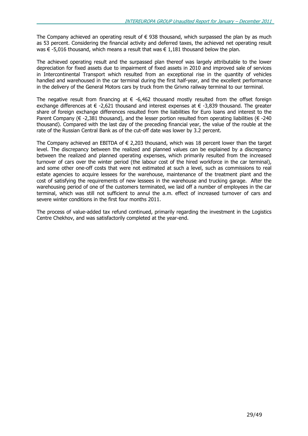The Company achieved an operating result of  $\epsilon$  938 thousand, which surpassed the plan by as much as 53 percent. Considering the financial activity and deferred taxes, the achieved net operating result was € -5,016 thousand, which means a result that was € 1,181 thousand below the plan.

The achieved operating result and the surpassed plan thereof was largely attributable to the lower depreciation for fixed assets due to impairment of fixed assets in 2010 and improved sale of services in Intercontinental Transport which resulted from an exceptional rise in the quantity of vehicles handled and warehoused in the car terminal during the first half-year, and the excellent performance in the delivery of the General Motors cars by truck from the Grivno railway terminal to our terminal.

The negative result from financing at  $\epsilon$  -6,462 thousand mostly resulted from the offset foreign exchange differences at  $\epsilon$  -2,621 thousand and interest expenses at  $\epsilon$  -3,839 thousand. The greater share of foreign exchange differences resulted from the liabilities for Euro loans and interest to the Parent Company ( $\epsilon$  -2,381 thousand), and the lesser portion resulted from operating liabilities ( $\epsilon$  -240 thousand). Compared with the last day of the preceding financial year, the value of the rouble at the rate of the Russian Central Bank as of the cut-off date was lower by 3.2 percent.

The Company achieved an EBITDA of  $\epsilon$  2,203 thousand, which was 18 percent lower than the target level. The discrepancy between the realized and planned values can be explained by a discrepancy between the realized and planned operating expenses, which primarily resulted from the increased turnover of cars over the winter period (the labour cost of the hired workforce in the car terminal), and some other one-off costs that were not estimated at such a level, such as commissions to real estate agencies to acquire lessees for the warehouse, maintenance of the treatment plant and the cost of satisfying the requirements of new lessees in the warehouse and trucking garage. After the warehousing period of one of the customers terminated, we laid off a number of employees in the car terminal, which was still not sufficient to annul the a.m. effect of increased turnover of cars and severe winter conditions in the first four months 2011.

The process of value-added tax refund continued, primarily regarding the investment in the Logistics Centre Chekhov, and was satisfactorily completed at the year-end.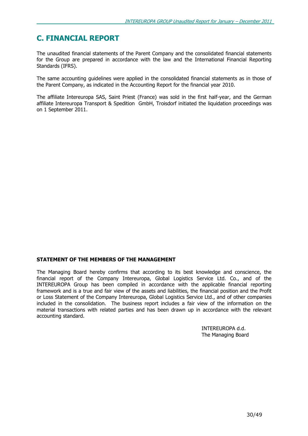### C. FINANCIAL REPORT

The unaudited financial statements of the Parent Company and the consolidated financial statements for the Group are prepared in accordance with the law and the International Financial Reporting Standards (IFRS).

The same accounting guidelines were applied in the consolidated financial statements as in those of the Parent Company, as indicated in the Accounting Report for the financial year 2010.

The affiliate Intereuropa SAS, Saint Priest (France) was sold in the first half-year, and the German affiliate Intereuropa Transport & Spedition GmbH, Troisdorf initiated the liquidation proceedings was on 1 September 2011.

### STATEMENT OF THE MEMBERS OF THE MANAGEMENT

The Managing Board hereby confirms that according to its best knowledge and conscience, the financial report of the Company Intereuropa, Global Logistics Service Ltd. Co., and of the INTEREUROPA Group has been compiled in accordance with the applicable financial reporting framework and is a true and fair view of the assets and liabilities, the financial position and the Profit or Loss Statement of the Company Intereuropa, Global Logistics Service Ltd., and of other companies included in the consolidation. The business report includes a fair view of the information on the material transactions with related parties and has been drawn up in accordance with the relevant accounting standard.

> INTEREUROPA d.d. The Managing Board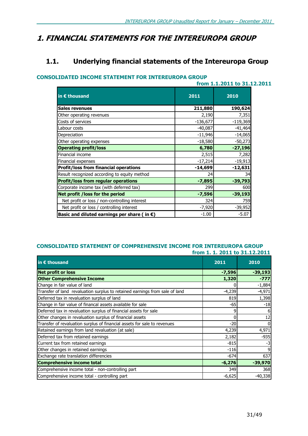### 1. FINANCIAL STATEMENTS FOR THE INTEREUROPA GROUP

### 1.1. Underlying financial statements of the Intereuropa Group

### CONSOLIDATED INCOME STATEMENT FOR INTEREUROPA GROUP

|                                                       | from 1.1.2011 to 31.12.2011 |            |  |  |
|-------------------------------------------------------|-----------------------------|------------|--|--|
| in $\epsilon$ thousand                                | 2011                        | 2010       |  |  |
| <b>Sales revenues</b>                                 | 211,880                     | 190,624    |  |  |
| Other operating revenues                              | 2,190                       | 7,351      |  |  |
| Costs of services                                     | $-136,677$                  | $-119,369$ |  |  |
| Labour costs                                          | $-40,087$                   | $-41,464$  |  |  |
| Depreciation                                          | $-11,946$                   | $-14,065$  |  |  |
| Other operating expenses                              | $-18,580$                   | $-50,273$  |  |  |
| <b>Operating profit/loss</b>                          | 6,780                       | $-27,196$  |  |  |
| Financial income                                      | 2,515                       | 7,282      |  |  |
| Financial expenses                                    | $-17,214$                   | $-19,913$  |  |  |
| <b>Profit/loss from financial operations</b>          | $-14,699$                   | $-12,631$  |  |  |
| Result recognized according to equity method          | 24                          | 34         |  |  |
| <b>Profit/loss from regular operations</b>            | $-7,895$                    | $-39,793$  |  |  |
| Corporate income tax (with deferred tax)              | 299                         | 600        |  |  |
| Net profit / loss for the period                      | $-7,596$                    | $-39,193$  |  |  |
| Net profit or loss / non-controlling interest         | 324                         | 759        |  |  |
| Net profit or loss / controlling interest             | $-7,920$                    | $-39,952$  |  |  |
| Basic and diluted earnings per share (in $\epsilon$ ) | $-1.00$                     | $-5.07$    |  |  |

### CONSOLIDATED STATEMENT OF COMPREHENSIVE INCOME FOR INTEREUROPA GROUP from 1. 1. 2011 to 31.12.2011

| in $\epsilon$ thousand                                                      | 2011     | 2010      |
|-----------------------------------------------------------------------------|----------|-----------|
| <b>Net profit or loss</b>                                                   | $-7,596$ | $-39,193$ |
| <b>Other Comprehensive Income</b>                                           | 1,320    | $-777$    |
| Change in fair value of land                                                |          | $-1,884$  |
| Transfer of land revaluation surplus to retained earnings from sale of land | $-4,239$ | $-4,971$  |
| Deferred tax in revaluation surplus of land                                 | 819      | 1,398     |
| Change in fair value of financal assets available for sale                  | -65      | $-18$     |
| Deferred tax in revaluation surplus of financial assets for sale            |          |           |
| Other changes in revaluation surplus of financial assets                    |          | 12        |
| Transfer of revaluation surplus of financial assets for sale to revenues    | $-20$    |           |
| Retained earnings from land revaluation (at sale)                           | 4,239    | 4,971     |
| Deferred tax from retained earnings                                         | 2,182    | $-935$    |
| Current tax from retained earnings                                          | $-815$   |           |
| Other changes in retained earnings                                          | $-116$   |           |
| Exchange rate translation differencies                                      | $-674$   | 637       |
| <b>Comprehensive income total</b>                                           | $-6,276$ | $-39,970$ |
| Comprehensive income total - non-controlling part                           | 349      | 368       |
| Comprehensive income total - controlling part                               | $-6,625$ | $-40,338$ |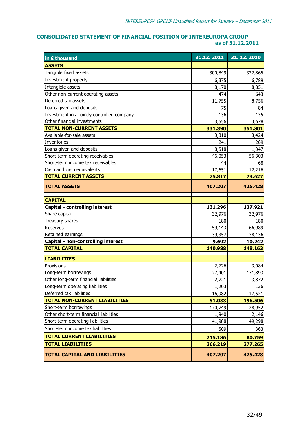### CONSOLIDATED STATEMENT OF FINANCIAL POSITION OF INTEREUROPA GROUP as of 31.12.2011

| in € thousand                              | 31.12.2011 | 31.12.2010 |
|--------------------------------------------|------------|------------|
| <b>ASSETS</b>                              |            |            |
| Tangible fixed assets                      | 300,849    | 322,865    |
| Investment property                        | 6,375      | 6,789      |
| Intangible assets                          | 8,170      | 8,851      |
| Other non-current operating assets         | 474        | 643        |
| Deferred tax assets                        | 11,755     | 8,756      |
| Loans given and deposits                   | 75         | 84         |
| Investment in a jointly controlled company | 136        | 135        |
| Other financial investments                | 3,556      | 3,678      |
| <b>TOTAL NON-CURRENT ASSETS</b>            | 331,390    | 351,801    |
| Available-for-sale assets                  | 3,310      | 3,424      |
| <b>Inventories</b>                         | 241        | 269        |
| Loans given and deposits                   | 8,518      | 1,347      |
| Short-term operating receivables           | 46,053     | 56,303     |
| Short-term income tax receivables          | 44         | 68         |
| Cash and cash equivalents                  | 17,651     | 12,216     |
| <b>TOTAL CURRENT ASSETS</b>                | 75,817     | 73,627     |
| <b>TOTAL ASSETS</b>                        | 407,207    | 425,428    |
| <b>CAPITAL</b>                             |            |            |
| Capital - controlling interest             | 131,296    | 137,921    |
| Share capital                              | 32,976     | 32,976     |
| Treasury shares                            | $-180$     | $-180$     |
| Reserves                                   | 59,143     | 66,989     |
| Retained earnings                          | 39,357     | 38,136     |
| Capital - non-controlling interest         | 9,692      | 10,242     |
| <b>TOTAL CAPITAL</b>                       | 140,988    | 148,163    |
| <b>LIABILITIES</b>                         |            |            |
| Provisions                                 | 2,726      | 3,084      |
| Long-term borrowings                       | 27,401     | 171,893    |
| Other long-term financial liabilities      | 2,721      | 3,872      |
| Long-term operating liabilities            | 1,203      | 136        |
| Deferred tax liabilities                   | 16,982     | 17,521     |
| <b>TOTAL NON-CURRENT LIABILITIES</b>       | 51,033     | 196,506    |
| Short-term borrowings                      | 170,749    | 28,952     |
| Other short-term financial liabilities     | 1,940      | 2,146      |
| Short-term operating liabilities           | 41,988     | 49,298     |
| Short-term income tax liabilities          | 509        | 363        |
| <b>TOTAL CURRENT LIABILITIES</b>           | 215,186    | 80,759     |
| <b>TOTAL LIABILITIES</b>                   | 266,219    | 277,265    |
| <b>TOTAL CAPITAL AND LIABILITIES</b>       | 407,207    | 425,428    |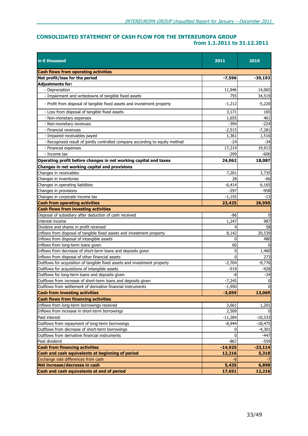### CONSOLIDATED STATEMENT OF CASH FLOW FOR THE INTEREUROPA GROUP from 1.1.2011 to 31.12.2011

| in $\epsilon$ thousand                                                       | 2011      | 2010           |
|------------------------------------------------------------------------------|-----------|----------------|
| <b>Cash flows from operating activities</b>                                  |           |                |
| Net profit/loss for the period                                               | $-7,596$  | $-39,193$      |
| <b>Adjustments for:</b>                                                      |           |                |
| - Depreciation                                                               | 11,946    | 14,065         |
| - Impairment and writedowns of tangible fixed assets                         | 755       | 34,519         |
| - Profit from disposal of tangible fixed assets and investment property      | $-1,212$  | $-5,220$       |
| - Loss from disposal of tangible fixed assets                                | 3,171     | 165            |
| - Non-monetary expenses                                                      | 1,655     | 461            |
| - Non-monetary revenues                                                      | -394      | -224           |
| - Financial revenues                                                         | $-2,515$  | $-7,281$       |
| - Impaired receivables payed                                                 | 1,361     | 1,516          |
| - Recognized result of jointly controlled company according to equity method | -24       | $-34$          |
| - Financial expenses                                                         | 17,214    | 19,913         |
| - Income tax                                                                 | $-299$    | -600           |
| Operating profit before changes in net working capital and taxes             | 24,062    | 18,087         |
| Changes in net working capital and provisions                                |           |                |
| Changes in receivables                                                       | 7,201     | 3,735          |
| Changes in inventories                                                       | 28        | -66            |
| Changes in operating liabilities                                             | $-6,414$  | 6,165          |
| Changes in provisions                                                        | $-297$    | $-958$         |
| Changes in corporate income tax                                              | $-1,155$  | $-13$          |
| <b>Cash from operating activities</b>                                        | 23,425    | 26,950         |
| <b>Cash flows from investing activities</b>                                  |           |                |
| Disposal of subsidiary after deduction of cash received                      | $-86$     | 0              |
| Interest income                                                              | 1,247     | 987            |
| Dividens and shares in profit received                                       |           | 58             |
| Inflows from disposal of tangible fixed assets and investment property       | 8,142     | 20,539         |
| Inflows from disposal of intangible assets                                   | 0         | 480            |
| Inflows from long-term loans given                                           | 60        |                |
| Inflows from decrease of short-term loans and deposits given                 | 0         | 1,460          |
| Inflows from disposal of other financial assets                              | 0         | 273            |
| Outflows for acquisition of tangible fixed assets and investment property    | $-2,704$  | $-9,776$       |
| Outflows for acquisitions of intangible assets                               | $-519$    | $-928$         |
| Outflows for long-term loans and deposits given                              | -8        | $-24$          |
| Outflows from increase of short-term loans and deposits given                | $-7,245$  | $\mathbf 0$    |
| Outflows from settlement of derivative financial instruments                 | $-1,950$  | $\overline{0}$ |
| <b>Cash from investing activities</b>                                        | $-3,059$  | 13,069         |
| <b>Cash flows from financing activities</b>                                  |           |                |
| Inflows from long-term borrowings received                                   | 3,661     | 1,201          |
| Inflows from increase in short-term borrowings                               | 2,509     |                |
| Paid interest                                                                | $-11,284$ | $-10,533$      |
| Outflows from repayment of long-term borrowings                              | $-8,944$  | $-18,475$      |
| Outflows from decrease of short-term borrowings                              | 0         | $-4,301$       |
| Outflows from derivative financial instruments                               | 0         | -447           |
| Paid dividend                                                                | $-867$    | $-559$         |
| <b>Cash from financing activities</b>                                        | $-14,925$ | $-33,114$      |
| Cash and cash equivalents at beginning of period                             | 12,216    | 5,318          |
| Exchange rate differences from cash                                          |           |                |
| Net increase/decrease in cash                                                | 5,435     | 6,898          |
| Cash and cash equivalents at end of period                                   | 17,651    | 12,216         |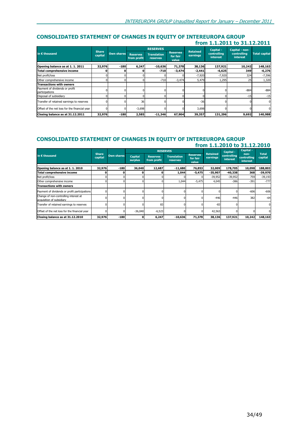### CONSOLIDATED STATEMENT OF CHANGES IN EQUITY OF INTEREUROPA GROUP from 1.1.2011 to 31.12.2011

|                                                  |                         |                   |                                | <b>RESERVES</b>                |                                      |                             | Capital -                      | Capital - non-          |                      |
|--------------------------------------------------|-------------------------|-------------------|--------------------------------|--------------------------------|--------------------------------------|-----------------------------|--------------------------------|-------------------------|----------------------|
| in $\epsilon$ thousand                           | <b>Share</b><br>capital | <b>Own shares</b> | <b>Reserves</b><br>from profit | <b>Translation</b><br>reserves | <b>Reserves</b><br>for fair<br>value | <b>Retained</b><br>earnings | controlling<br><b>interest</b> | controlling<br>interest | <b>Total capital</b> |
| Opening balance as at 1. 1. 2011                 | 32,976                  | $-180$            | 6,247                          | $-10,636$                      | 71,378                               | 38,136                      | 137,921                        | 10,242                  | 148,163              |
| Total comprehensive income                       |                         |                   |                                | -710                           | $-3,474$                             | $-2,441$                    | $-6,625$                       | 349                     | $-6,276$             |
| Net profit/loss                                  |                         |                   |                                |                                |                                      | $-7,920$                    | $-7,920$                       | 324                     | $-7,596$             |
| Other comprehensive income                       |                         |                   |                                | $-710$                         | $-3,474$                             | 5,479                       | 1,295                          | 25                      | 1,320                |
| <b>Transactions with owners</b>                  |                         |                   |                                |                                |                                      |                             |                                |                         |                      |
| Payment of dividends or profit<br>participations |                         |                   |                                |                                |                                      |                             |                                | $-884$                  | $-884$               |
| Disposal of subisidiary                          |                         |                   |                                |                                |                                      |                             |                                | $-15$                   | $-15$                |
| Transfer of retained earnings to reserves        |                         |                   | 36                             |                                |                                      | $-36$                       |                                |                         |                      |
| Offset of the net loss for the financial year    |                         |                   | $-3,698$                       |                                |                                      | 3,698                       |                                |                         |                      |
| Closing balance as at 31.12.2011                 | 32,976                  | $-180$            | 2,585                          | $-11.346$                      | 67,904                               | 39,357                      | 131,296                        | 9,692                   | 140,988              |

#### CONSOLIDATED STATEMENT OF CHANGES IN EQUITY OF INTEREUROPA GROUP from 1.1.2010 to 31.12.2010

| U<br>----------                                                    |                         |                   |                           |                                |                                |                                      |                             |                         |                                        |                         |
|--------------------------------------------------------------------|-------------------------|-------------------|---------------------------|--------------------------------|--------------------------------|--------------------------------------|-----------------------------|-------------------------|----------------------------------------|-------------------------|
|                                                                    |                         |                   |                           |                                | <b>RESERVES</b>                |                                      |                             | Capital -               | Capital -                              |                         |
| in $\epsilon$ thousand                                             | <b>Share</b><br>capital | <b>Own shares</b> | <b>Capital</b><br>surplus | <b>Reserves</b><br>from profit | <b>Translation</b><br>reserves | <b>Reserves</b><br>for fair<br>value | <b>Retained</b><br>earnings | controlling<br>interest | non-<br>controlling<br><b>interest</b> | <b>Total</b><br>capital |
| Opening balance as at 1.1. 2010                                    | 32,976                  | $-180$            | 36,040                    | 12,687                         | $-11,680$                      | 76,853                               | 32,009                      | 178,705                 | 10,098                                 | 188,803                 |
| <b>Total comprehensive income</b>                                  |                         |                   |                           |                                | 1,044                          | $-5,475$                             | $-35,907$                   | $-40.338$               | 368                                    | $-39,970$               |
| Net profit/loss                                                    |                         |                   |                           |                                |                                |                                      | $-39,952$                   | $-39,952$               | 759                                    | $-39,193$               |
| Other comprehensive income                                         |                         |                   |                           |                                | 1,044                          | $-5,475$                             | 4,045                       | $-386$                  | $-391$                                 | $-777$                  |
| <b>Transactions with owners</b>                                    |                         |                   |                           |                                |                                |                                      |                             |                         |                                        |                         |
| Payment of dividends or profit participations                      |                         |                   |                           |                                |                                |                                      |                             |                         | $-606$                                 | $-606$                  |
| Change of non-controlling interest at<br>acquisition of subsidiary |                         |                   |                           |                                |                                |                                      | $-446$                      | $-446$                  | 382                                    | $-64$                   |
| Transfer of retained earnings to reserves                          |                         |                   |                           | 83                             |                                |                                      | $-83$                       |                         |                                        | $\Omega$                |
| Offset of the net loss for the financial year                      |                         |                   | $-36,040$                 | $-6,523$                       |                                |                                      | 42,563                      |                         |                                        | $\Omega$                |
| Closing balance as at 31.12.2010                                   | 32,976                  | $-180$            |                           | 6,247                          | $-10.636$                      | 71,378                               | 38,136                      | 137,921                 | 10,242                                 | 148,163                 |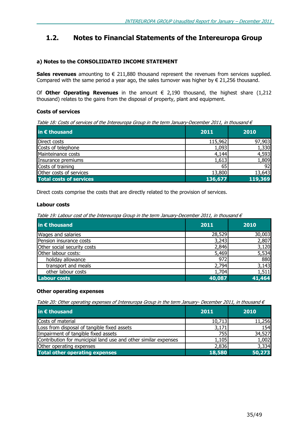### 1.2. Notes to Financial Statements of the Intereuropa Group

### a) Notes to the CONSOLIIDATED INCOME STATEMENT

Sales revenues amounting to  $\epsilon$  211,880 thousand represent the revenues from services supplied. Compared with the same period a year ago, the sales turnover was higher by  $\epsilon$  21,256 thousand.

Of Other Operating Revenues in the amount  $\epsilon$  2,190 thousand, the highest share (1,212 thousand) relates to the gains from the disposal of property, plant and equipment.

### Costs of services

Table 18: Costs of services of the Intereuropa Group in the term January-December 2011, in thousand  $\epsilon$ 

| in € thousand                  | 2011    | 2010    |
|--------------------------------|---------|---------|
| Direct costs                   | 115,962 | 97,903  |
| Costs of telephone             | 1,093   | 1,330   |
| Mainteinance costs             | 4,144   | 4,593   |
| Insurance premiums             | 1,613   | 1,809   |
| Costs of training              | 65      | 92      |
| Other costs of services        | 13,800  | 13,643  |
| <b>Total costs of services</b> | 136,677 | 119,369 |

Direct costs comprise the costs that are directly related to the provision of services.

### Labour costs

Table 19: Labour cost of the Intereuropa Group in the term January-December 2011, in thousand  $\epsilon$ 

| in € thousand               | 2011   | 2010   |
|-----------------------------|--------|--------|
| Wages and salaries          | 28,529 | 30,003 |
| Pension insurance costs     | 3,243  | 2,807  |
| Other social security costs | 2,846  | 3,120  |
| Other labour costs:         | 5,469  | 5,534  |
| holiday allowance           | 972    | 880    |
| transport and meals         | 2,794  | 3,143  |
| other labour costs          | 1,704  | 1,511  |
| <b>Labour costs</b>         | 40,087 | 41,464 |

### Other operating expenses

Table 20: Other operating expenses of Intereuropa Group in the term January- December 2011, in thousand  $\epsilon$ 

| in $\epsilon$ thousand                                          | 2011   | 2010   |
|-----------------------------------------------------------------|--------|--------|
| Costs of material                                               | 10,713 | 11,256 |
| Loss from disposal of tangible fixed assets                     | 3,171  | 154    |
| Impairment of tangible fixed assets                             | 755    | 34,527 |
| Contribution for municipial land use and other similar expenses | 1,105  | 1,002  |
| Other operating expenses                                        | 2,836  | 3,334  |
| <b>Total other operating expenses</b>                           | 18,580 | 50,273 |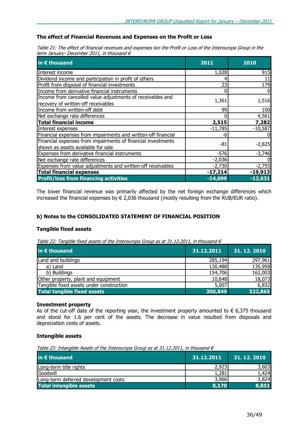### The effect of Financial Revenues and Expenses on the Profit or Loss

Table 21: The effect of financial revenues and expenses ton the Profit or Loss of the Intereuropa Group in the term January- December 2011, in thousand  $\epsilon$ 

| in $\epsilon$ thousand                                                                             | 2011      | 2010      |
|----------------------------------------------------------------------------------------------------|-----------|-----------|
| Interest income                                                                                    | 1,028     | 915       |
| Dividend income and participation in profit of others                                              |           | 11        |
| Profit from disposal of financial investments                                                      | 23        | 179       |
| Income from derivative financial instruments                                                       |           |           |
| Income from cancelled value adjustments of receivables and<br>recovery of written-off receivables  | 1,361     | 1,516     |
| Income from written-off debt                                                                       | 99        | 100       |
| Net exchange rate differences                                                                      |           | 4,561     |
| <b>Total financial income</b>                                                                      | 2,515     | 7,282     |
| Interest expenses                                                                                  | $-11,785$ | $-10,587$ |
| Financial expenses from impairments and written-off financial                                      | -6        |           |
| Financial expenses from impairments of financial investments<br>shown as assets available for sale | -81       | $-2,825$  |
| Expenses from derivative financial instruments                                                     | $-576$    | $-3,746$  |
| Net exchange rate differences                                                                      | $-2,036$  |           |
| Expenses from value adjustments and written-off receivables                                        | $-2,730$  | $-2,755$  |
| <b>Total financial expenses</b>                                                                    | $-17,214$ | $-19,913$ |
| <b>Profit/loss from financing activities</b>                                                       | $-14,699$ | $-12,631$ |

The lower financial revenue was primarily affected by the net foreign exchange differences which increased the financial expenses by  $\epsilon$  2,036 thousand (mostly resulting from the RUB/EUR ratio).

### b) Notes to the CONSOLIDATED STATEMENT OF FINANCIAL POSITION

### Tangible fixed assets

Table 22: Tangible fixed assets of the Intereuropa Group as at 31.12.2011, in thousand  $\epsilon$ 

| in € thousand                            | 31.12.2011 | 31.12.2010 |
|------------------------------------------|------------|------------|
| Land and buildings                       | 285,194    | 297,961    |
| a) Land                                  | 130,488    | 135,958    |
| b) Buildings                             | 154,706    | 162,003    |
| Other property, plant and equipment      | 10,648     | 18,073     |
| Tangible fixed assets under construction | 5,007      | 6,832      |
| <b>Total tangible fixed assets</b>       | 300,849    | 322,865    |

### Investment property

As of the cut-off date of the reporting year, the investment property amounted to  $\epsilon$  6,375 thousand and stood for 1.6 per cent of the assets. The decrease in value resulted from disposals and depreciation costs of assets.

### Intangible assets

Table 23: Intangible Assets of the Intereuropa Group as at 31.12.2011, in thousand  $\epsilon$ 

| in $\epsilon$ thousand               | 31.12.2011 | 31.12.2010 |
|--------------------------------------|------------|------------|
| Long-term title rights               | 2,923      | 3,603      |
| Goodwill                             | 1,281      | 1.424      |
| Long-term deferred development costs | 3,966      | 3.824      |
| Total intangible assets              | 8,170      | 8.851      |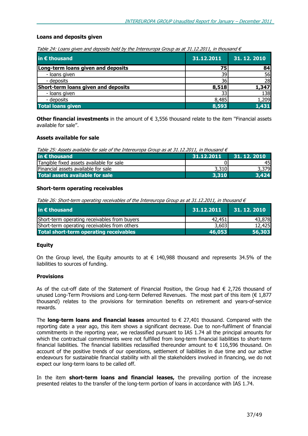### Loans and deposits given

|  |  |  |  |  | Table 24: Loans given and deposits held by the Intereuropa Group as at 31.12.2011, in thousand $\epsilon$ |  |
|--|--|--|--|--|-----------------------------------------------------------------------------------------------------------|--|
|  |  |  |  |  |                                                                                                           |  |

| in € thousand                       | 31.12.2011 | 31, 12, 2010 |
|-------------------------------------|------------|--------------|
| Long-term loans given and deposits  | 75         | 84           |
| - Ioans given                       | 39         | 56           |
| - deposits                          | 36         | 28           |
| Short-term loans given and deposits | 8,518      | 1,347        |
| - loans given                       | 33         | 138          |
| - deposits                          | 8,485      | 1,209        |
| <b>Total loans given</b>            | 8,593      | 1,431        |

**Other financial investments** in the amount of  $∈$  3,556 thousand relate to the item "Financial assets available for sale''.

### Assets available for sale

Table 25: Assets available for sale of the Intereuropa Group as at 31.12.2011, in thousand  $\epsilon$ 

| in $\epsilon$ thousand                   | 31.12.2011 | 31. 12. 2010 |
|------------------------------------------|------------|--------------|
| Tangible fixed assets available for sale |            | 45           |
| Financial assets available for sale      | 3,310      | 3,379        |
| Total assets available for sale          | 3.310      | 3.424        |

### Short-term operating receivables

Table 26: Short-term operating receivables of the Intereuropa Group as at 31.12.2011, in thousand  $\epsilon$ 

| in $\epsilon$ thousand                        | 31.12.2011 | 31.12.2010 |
|-----------------------------------------------|------------|------------|
| Short-term operating receivables from buyers  | 42,451     | 43,878     |
| Short-term operating receivables from others  | 3,603      | 12,425     |
| <b>Total short-term operating receivables</b> | 46,053     | 56,303     |

### Equity

On the Group level, the Equity amounts to at  $\epsilon$  140,988 thousand and represents 34.5% of the liabilities to sources of funding.

### **Provisions**

As of the cut-off date of the Statement of Financial Position, the Group had  $\epsilon$  2,726 thousand of unused Long-Term Provisions and Long-term Deferred Revenues. The most part of this item  $(6\ 1.877)$ thousand) relates to the provisions for termination benefits on retirement and years-of-service rewards.

The long-term loans and financial leases amounted to  $\epsilon$  27,401 thousand. Compared with the reporting date a year ago, this item shows a significant decrease. Due to non-fulfilment of financial commitments in the reporting year, we reclassified pursuant to IAS 1.74 all the principal amounts for which the contractual commitments were not fulfilled from long-term financial liabilities to short-term financial liabilities. The financial liabilities reclassified thereunder amount to € 116,596 thousand. On account of the positive trends of our operations, settlement of liabilities in due time and our active endeavours for sustainable financial stability with all the stakeholders involved in financing, we do not expect our long-term loans to be called off.

In the item **short-term loans and financial leases**, the prevailing portion of the increase presented relates to the transfer of the long-term portion of loans in accordance with IAS 1.74.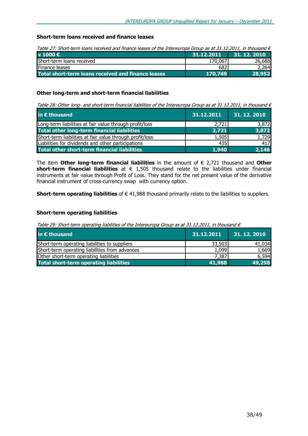### Short-term loans received and finance leases

Table 27: Short-term loans received and finance leases of the Intereuropa Group as at 31.12.2011, in thousand  $\epsilon$ 

| v 1000 $\epsilon$                                  | 31.12.2011 | 31. 12. 2010 |
|----------------------------------------------------|------------|--------------|
| Short-term loans received                          | 170,067    | 26,688       |
| Finance leases                                     | 682l       | 2,264        |
| Total short-term loans received and finance leases | 170,749    | 28,952       |

### Other long-term and short-term financial liabilities

Table 28: Other long- and short-term financial liabilities of the Intereuropa Group as at 31.12.2011, in thousand  $\in$ 

| in € thousand                                            | 31.12.2011 | 31, 12, 2010 |
|----------------------------------------------------------|------------|--------------|
| Long-term liabilities at fair value through profit/loss  | 2,721      | 3,872        |
| Total other long-term financial liabilities              | 2,721      | 3,872        |
| Short-term liabilities at fair value through profit/loss | 1,505      | 1,729        |
| Liabilities for dividends and other participations       | 435I       | 417          |
| <b>Total other short-term financial liabilities</b>      | 1,940      | 2,146        |

The item Other long-term financial liabilities in the amount of  $\epsilon$  2,721 thousand and Other short-term financial liabilities at  $\epsilon$  1,505 thousand relate to the liabilities under financial instruments at fair value through Profit of Loss. They stand for the net present value of the derivative financial instrument of cross-currency swap with currency option.

Short-term operating liabilities of  $\epsilon$  41,988 thousand primarily relate to the liabilities to suppliers.

### Short-term operating liabilities

Table 29: Short-term operating liabilities of the Intereuropa Group as at 31.12.2011, in thousand  $\epsilon$ 

| in $\epsilon$ thousand                         | 31.12.2011 | 31.12.2010 |
|------------------------------------------------|------------|------------|
| Short-term operating liabilities to suppliers  | 33,503     | 41,034     |
| Short-term operating liabilities from advances | 1,099      | 1,669      |
| Other short-term operating liabilities         | 7,387      | 6.594      |
| <b>Total short-term operating liabilities</b>  | 41,988     | 49,298     |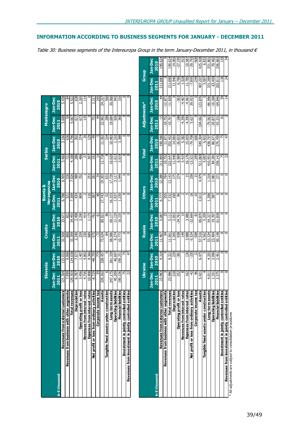| 121.304<br>129.303<br>3.456<br>7.999<br>6.787<br>2011<br>customers<br>Revenues from business with other segments<br>Total revenues<br>profit or loss<br><b>Depreciation</b><br>Revenues from externa<br>Operating<br>in € thousand | Jan-Dec Jan-Dec<br>124.038<br>9.006<br>115.032<br>2010<br>Slovenia | Jan-Dec<br>2011 | Croatia | <b>Herzegovina</b><br><b>Bosnia &amp;</b> |         | <b>Serbia</b>       |         |         | <b>Montenegro</b> |
|------------------------------------------------------------------------------------------------------------------------------------------------------------------------------------------------------------------------------------|--------------------------------------------------------------------|-----------------|---------|-------------------------------------------|---------|---------------------|---------|---------|-------------------|
|                                                                                                                                                                                                                                    |                                                                    |                 |         |                                           |         |                     |         |         |                   |
|                                                                                                                                                                                                                                    |                                                                    |                 | Jan-Dec | Jan-Dec                                   | Jan-Dec | Jan-Dec             | Jan-Dec | Jan-Dec | Jan-Dec           |
|                                                                                                                                                                                                                                    |                                                                    |                 | 2010    | 2011                                      | 2010    | 2011                | 2010    | 2011    | 2010              |
|                                                                                                                                                                                                                                    |                                                                    | 32.509          | 33.671  | 6.788                                     | 6.495   | 3.460               | 3.160   | 5.608   | 5.438             |
|                                                                                                                                                                                                                                    |                                                                    | 800             | 822     | 521                                       | 530     | 721                 | 636     | 59      | 84                |
|                                                                                                                                                                                                                                    |                                                                    | 33.309          | 34.493  | 7.309                                     | ,026    | 4.180               | 3.796   | 5.667   | 5.522             |
|                                                                                                                                                                                                                                    | 7.671                                                              | 2.240           | 2.498   | 434                                       | 489     | 286                 | 302     | 617     | 638               |
|                                                                                                                                                                                                                                    | 1.407                                                              | 259             | 3.290   | 809                                       | 702     | 486                 | 374     | 673     | 2.265             |
| 4.756<br>erest rates<br>Revenues from in                                                                                                                                                                                           | 4.802                                                              | 330             | 419     |                                           |         | 57                  | 26      | 135     | 114               |
| 10.908<br>erest rates<br>Expenses from in                                                                                                                                                                                          | 9.366                                                              | 689             | 1.175   | $\frac{6}{116}$                           | 253     | 307                 | 129     |         |                   |
| $-8.729$<br>ry activities<br>Net profit or loss from ordina                                                                                                                                                                        | $-48.705$                                                          | $-575$          | -761    | 387                                       | 281     | $\overline{5}$      | 99      | 751     | 2.31              |
| 29<br>e income tax<br>Corporat                                                                                                                                                                                                     | -775                                                               | -72             | မှ      | 48                                        | र्द्र   | $\overline{4}$      | 5       | \$      | 245               |
| 320.262<br>Assets                                                                                                                                                                                                                  | 328.457                                                            | 73.634          | 85.021  | 17.743                                    | 19.303  | 11.718              | 11.362  | 22.962  | 24.33             |
| construction<br>Tangible fixed assets under                                                                                                                                                                                        |                                                                    | $\overline{4}$  | 86      | $\mathbb{S}^2$                            | 633     | $\overline{\infty}$ | 334     | 288     | 560               |
| 247.175<br>term assets<br>Long-                                                                                                                                                                                                    | 261.339                                                            | 58.586          | 69.177  | 16.333                                    | 17.739  | 10.620              | 10.483  | 19.684  | 20.060            |
| 45.209<br>ing liabilities<br>Operat                                                                                                                                                                                                | 46.697                                                             | 9.274           | 11.129  | 1.937                                     | 3.117   | 1.613               | 1.310   | 926     | 943               |
| 190.236<br>cial liabilities<br>Financ                                                                                                                                                                                              | 190.251                                                            | 10.773          | 16.235  | 1.230                                     | 1.949   | 3.019               | 3.388   | 360     | 316               |
| 75<br>lled entities<br>Investment in jointly contro                                                                                                                                                                                | Ю                                                                  |                 |         |                                           |         |                     |         |         |                   |
| 22<br>lled entities<br>Revenues from investment in jointly contro                                                                                                                                                                  | 47                                                                 |                 |         |                                           |         |                     |         |         |                   |

|                                                           | Slovenia       |                | Croatia        |                | Bosnia &           |                    | <b>Serbia</b> |                    | Montenegro     |                |                |                 |
|-----------------------------------------------------------|----------------|----------------|----------------|----------------|--------------------|--------------------|---------------|--------------------|----------------|----------------|----------------|-----------------|
|                                                           |                |                |                |                | <b>Herzegovina</b> |                    |               |                    |                |                |                |                 |
|                                                           | Jan-Dec        | Jan-Dec        | Jan-Dec        | <b>Jan-Dec</b> | Jan-Dec            | Jan-Dec            | Jan-Dec       | <b>Jan-Dec</b>     | <b>Jan-Dec</b> | <b>Jan-Dec</b> |                |                 |
| in E thousand                                             | 2011           | 2010           | 2011           | 2010           | 2011               | 2010               | 2011          | 2010               | 2011           | 2010           |                |                 |
| Revenues from external customers                          | 121.304        | 115.032        | 32.509         | 33.671         | 6.788              | 6.495              | 3.460         | 3.160              | 5.608          | 5.438          |                |                 |
| Revenues from business with other segments                | 7.999          | 9.006          | 800            | 822            | 521                | 530                | <b>Z1</b>     | 636                | S              |                |                |                 |
| Total revenues                                            | 129.303        | 124.038        | 33.309         | 34,493         | 7.309              | 7.026              | 4.180         | 3.796              | 5.667          | 5.522          |                |                 |
| Depreciation                                              | 6.787          | 7.671          | 2.240          | 2.498          | 434                | 489                | 286           | 302                | 55             | 638            |                |                 |
| Operating profit or loss                                  | 3.456          | 1.407          | 259            | 3.290          | 809                | 20Z                | 486           | 374                | 673            | 2.265          |                |                 |
| Revenues from interest rates                              | 4.756          | 4.802          | 330            | 419            |                    |                    | 55            | $\overline{26}$    | 135            | $\frac{4}{1}$  |                |                 |
| Expenses from interest rates                              | 10.908         | 9.366          | 689            | 1.175          | 116                | 253                | 307           | 129                |                |                |                |                 |
| Net profit or loss from ordinary activities               | $-8.729$       | $-48.705$      | $-575$         | $-761$         | 387                | 281                | 192           | ஔ                  | 751            | 2.317          |                |                 |
| Corporate income tax                                      | 29             | $-775$         | -72            | မှ             | $\frac{8}{3}$      | 54                 |               | ᡢ                  | 84             | 245            |                |                 |
| Assets                                                    | 320.262        | 328.457        | 73.634         | 85.021         | 17.743             | 19.303             | 11.718        | 11.362             | 22.962         | 24.337         |                |                 |
| Tangible fixed assets under construction                  |                |                | 84             | 86             | 5)                 | 633                |               | 334                | 288            | 560            |                |                 |
| Long-term assets                                          | 247.175        | 261.339        | 58.586         | 69.177         | 16.333             | 17.739             | 10.620        | 10.483             | 19.684         | 20.060         |                |                 |
| <b>Operating liabilities</b>                              | 45.209         | 46.697         | 9.274          | 11.129         | 1.937              | 3.117              | 1.613         | 1.310              | 926            | 943            |                |                 |
| Financial liabilities                                     | 190.236        | 190.251        | 10.773         | 16.235         | 1.230              | 1.949              | 3.019         | 3.388              | 360            | 316            |                |                 |
| Investment in jointly controlled entities                 | 75             | 75             |                | 0              |                    | 0                  | c             | 0                  | 0              |                |                |                 |
| Revenues from investment in jointly controlled entities   | $\overline{2}$ | 47             | $\circ$        | $\circ$        | $\circ$            | $\circ$            | 0             | $\overline{\circ}$ | 0              |                |                |                 |
|                                                           |                |                |                |                |                    |                    |               |                    |                |                |                |                 |
|                                                           | Ukraine        |                | Russia         |                | <b>Others</b>      |                    | <b>Total</b>  |                    | Adjustments*   |                | Group          |                 |
|                                                           | <b>Jan-Dec</b> | <b>Jan-Dec</b> | <b>Jan-Dec</b> | <b>Jan-Dec</b> | <b>Jan-Dec</b>     | Jan-Dec            | Jan-Dec       | <b>Jan-Dec</b>     | Jan-Dec        | <b>Jan-Dec</b> | <b>Jan-Dec</b> | Jan-Dec         |
| in E thousand                                             | 2011           | 2010           | 2011           | 2010           | 2011               | 2010               | 2011          | 2010               | 2011           | 2010           | 2011           | 2010            |
| Revenues from external customers                          | 23.983         | 9.318          | 11.467         | 5.087          | 6.777              | 12.380             | 211.895       | 190.580            | $-15$          | 4              | 211.880        | 190.624         |
| Revenues from business with other segments                |                |                | 54             |                | 555                | 764                | 10.752        | 11.87              | $-10.752$      | $-11.87$       |                |                 |
| Total revenues                                            | 23.986         | 9.322          | 11.561         | 5.112          | 7.332              | 13.143             | 222.647       | 202.452            | $-10.767$      | $-11.828$      | 211.880        | 190.624         |
| Depreciation                                              | 218            | 239            | .265           | 2.053          | 100                | 175                | 11.946        | 14.065             |                |                | 11.946         | 14.065          |
| Operating profit or loss                                  | 252            | $-382$         | 938            | $-34.763$      | 96                 | 274                | 6.969         | $-26.833$          | $-188$         | $-363$         | 6.780          | $-27.195$       |
| Revenues from interest rates                              |                |                | 149            | ግ              |                    |                    | 5.419         | 5.382              | $-4.390$       | $-4.467$       | 1.028          | ā               |
| Expenses from interest rates                              | 162            | 136            | 3.988          | 3.980          | 5                  | $\overline{15}$    | 16.176        | 15.055             | $-4.390$       | $-4.467$       | 11.785         | 10.587          |
| Net profit or loss from ordinary activities               | -42            | $-330$         | $-5.524$       | $-32.669$      | ≌                  | 258                | $-13.521$     | $-79.708$          | 5.627          | 39.915         | $-7.895$       | $-39.793$       |
| Corporate income tax                                      | 86             | ನ              | $-508$         | အို            | ≘                  | 23                 | $-299$        | -600               |                |                | 662-           | $-600$          |
| Assets                                                    | 5.421          | 6.475          | 57.516         | 69.870         | 2.613              | 4.479              | 511.869       | 549.304            | $-104.662$     | $-123.876$     | 407.207        | 425.428         |
| Tangible fixed assets under construction                  |                |                | 4.562          | 5.209          |                    |                    | 5.007         | 6.832              |                |                | 5.007          | 6.832           |
| Long-term assets                                          | 4.011          | 4.355          | 53.334         | 54.327         | 1.208              | 1.318              | 410.951       | 438.797            | $-79.563$      | $-86.996$      | 331.389        | 351.801         |
| <b>Operating liabilities</b>                              | 1.331          | 2.096          | 23.404         | 19.397         | 587                | 1.981              | 84.281        | 86.671             | $-20.872$      | $-16.268$      | 63.409         | 70.402          |
| <b>Financial liabilities</b>                              | 2.375          | 2.461          | 50.148         | 61.838         |                    | 272                | 258.141       | 276.709            | $-55.331$      | $-69.846$      | 202.811        | 206.863         |
| Investment in jointly controlled entities                 | 0              | 0              | 0              | $\circ$        | 0                  | $\circ$            | 15            | 75                 | 5              | 59             | 136            | 135             |
| Revenues from investment in jointly controlled entities   | c              | $\circ$        | 0              | $\circ$        | c                  | $\overline{\circ}$ | 22            | 47                 |                | $-14$          | $\overline{A}$ | $\overline{34}$ |
| * All adjustments are subject to consolidation procedures |                |                |                |                |                    |                    |               |                    |                |                |                |                 |

| <br> <br> <br> <br> <br> <br> <br> <br> <br> <br> <br> <br> | ustments are subject to consolidation procedu |
|-------------------------------------------------------------|-----------------------------------------------|
|                                                             |                                               |
|                                                             |                                               |
|                                                             |                                               |
|                                                             |                                               |
|                                                             |                                               |

### INFORMATION ACCORDING TO BUSINESS SEGMENTS FOR JANUARY - DECEMBER 2011

Table 30: Business segments of the Intereuropa Group in the term January-December 2011, in thousand  $\epsilon$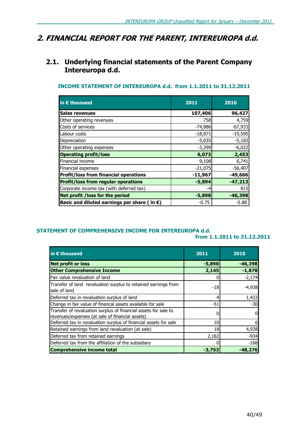### 2. FINANCIAL REPORT FOR THE PARENT, INTEREUROPA d.d.

### 2.1. Underlying financial statements of the Parent Company Intereuropa d.d.

### INCOME STATEMENT OF INTEREUROPA d.d. from 1.1.2011 to 31.12.2011

| in $\epsilon$ thousand                                | 2011      | 2010      |
|-------------------------------------------------------|-----------|-----------|
| <b>Sales revenues</b>                                 | 107,406   | 96,427    |
| Other operating revenues                              | 758       | 4,759     |
| Costs of services                                     | $-74,886$ | $-67,933$ |
| Labour costs                                          | $-18,871$ | $-19,595$ |
| Depreciation                                          | $-5,035$  | $-5,183$  |
| Other operating expenses                              | $-3,299$  | $-6,022$  |
| <b>Operating profit/loss</b>                          | 6,073     | 2,453     |
| Financial income                                      | 9,108     | 6,741     |
| Financial expenses                                    | $-21,075$ | $-56,407$ |
| <b>Profit/loss from financial operations</b>          | $-11,967$ | $-49,666$ |
| <b>Profit/loss from regular operations</b>            | $-5,894$  | $-47,213$ |
| Corporate income tax (with deferred tax)              | -4        | 815       |
| Net profit / loss for the period                      | $-5,898$  | $-46,398$ |
| Basic and diluted earnings per share (in $\epsilon$ ) | $-0.75$   | -5.88     |

### STATEMENT OF COMPREHENSIVE INCOME FOR INTEREUROPA d.d.

from 1.1.2011 to 31.12.2011

| in $\epsilon$ thousand                                                                                             | 2011            | 2010      |
|--------------------------------------------------------------------------------------------------------------------|-----------------|-----------|
| <b>Net profit or loss</b>                                                                                          | $-5,898$        | $-46,398$ |
| <b>Other Comprehensive Income</b>                                                                                  | 2,145           | $-1,878$  |
| Fair value revaluation of land                                                                                     |                 | $-2,174$  |
| Transfer of land revaluation surplus to retained earnings from<br>sale of land                                     | $-18$           | $-4,938$  |
| Deferred tax in revaluation surplus of land                                                                        |                 | 1,422     |
| Change in fair value of financal assets available for sale                                                         | $-51$           | $-30$     |
| Transfer of revaluation surplus of financial assets for sale to<br>revenues/expenses (at sale of financial assets) |                 |           |
| Deferred tax in revaluation surplus of financial assets for sale                                                   | 10 <sup>1</sup> |           |
| Retained earnings from land revaluation (at sale)                                                                  | 18              | 4,938     |
| Deferred tax from retained earnings                                                                                | 2,182           | $-934$    |
| Deferred tax from the affiliation of the subsidiary                                                                |                 | $-168$    |
| <b>Comprehensive income total</b>                                                                                  | $-3,753$        | -48,276   |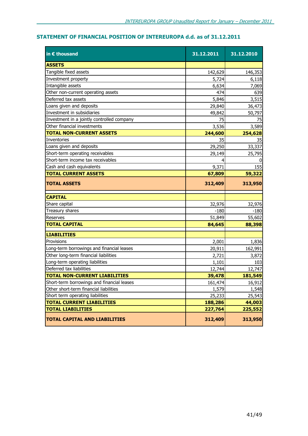### STATEMENT OF FINANCIAL POSITION OF INTEREUROPA d.d. as of 31.12.2011

| in € thousand                              | 31.12.2011 | 31.12.2010 |
|--------------------------------------------|------------|------------|
| <b>ASSETS</b>                              |            |            |
| Tangible fixed assets                      | 142,629    | 146,353    |
| Investment property                        | 5,724      | 6,118      |
| Intangible assets                          | 6,634      | 7,069      |
| Other non-current operating assets         | 474        | 639        |
| Deferred tax assets                        | 5,846      | 3,515      |
| Loans given and deposits                   | 29,840     | 36,473     |
| Investment in subsidiaries                 | 49,842     | 50,797     |
| Investment in a jointly controlled company | 75         | 75         |
| Other financial investments                | 3,536      | 3,589      |
| <b>TOTAL NON-CURRENT ASSETS</b>            | 244,600    | 254,628    |
| Inventories                                | 35         | 35         |
| Loans given and deposits                   | 29,250     | 33,337     |
| Short-term operating receivables           | 29,149     | 25,795     |
| Short-term income tax receivables          |            |            |
| Cash and cash equivalents                  | 9,371      | 155        |
| <b>TOTAL CURRENT ASSETS</b>                | 67,809     | 59,322     |
| <b>TOTAL ASSETS</b>                        | 312,409    | 313,950    |
| <b>CAPITAL</b>                             |            |            |
| Share capital                              | 32,976     | 32,976     |
| Treasury shares                            | $-180$     | $-180$     |
| Reserves                                   | 51,849     | 55,602     |
| <b>TOTAL CAPITAL</b>                       | 84,645     | 88,398     |
| <b>LIABILITIES</b>                         |            |            |
| Provisions                                 | 2,001      | 1,836      |
| Long-term borrowings and financial leases  | 20,911     | 162,991    |
| Other long-term financial liabilities      | 2,721      | 3,872      |
| Long-term operating liabilities            | 1,101      | 103        |
| Deferred tax liabilities                   | 12,744     | 12,747     |
| <b> TOTAL NON-CURRENT LIABILITIES</b>      | 39,478     | 181,549    |
| Short-term borrowings and financial leases | 161,474    | 16,912     |
| Other short-term financial liabilities     | 1,579      | 1,548      |
| Short term operating liabilities           | 25,233     | 25,543     |
| <b>TOTAL CURRENT LIABILITIES</b>           | 188,286    | 44,003     |
| <b>TOTAL LIABILITIES</b>                   | 227,764    | 225,552    |
| <b>TOTAL CAPITAL AND LIABILITIES</b>       | 312,409    | 313,950    |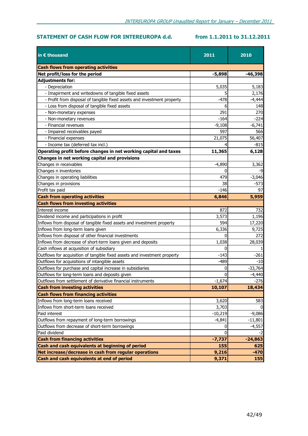### STATEMENT OF CASH FLOW FOR INTEREUROPA d.d. from 1.1.2011 to 31.12.2011

| in $\epsilon$ thousand                                                    | 2011      | 2010      |
|---------------------------------------------------------------------------|-----------|-----------|
| <b>Cash flows from operating activities</b>                               |           |           |
| Net profit/loss for the period                                            | $-5,898$  | $-46,398$ |
| <b>Adjustments for:</b>                                                   |           |           |
| - Depreciation                                                            | 5,035     | 5,183     |
| - Imapirment and writedowns of tangible fixed assets                      |           | 2,176     |
| - Profit from disposal of tangible fixed assets and investment property   | $-478$    | $-4,444$  |
| - Loss from disposal of tangible fixed assets                             | 6         | 148       |
| - Non-monetary expenses                                                   | 291       | 270       |
| - Non-monetary revenues                                                   | $-164$    | $-224$    |
| - Financial revenues                                                      | $-9,108$  | $-6,741$  |
| - Impaired receivables payed                                              | 597       | 566       |
| - Financial expenses                                                      | 21,075    | 56,407    |
| - Income tax (deferred tax incl.)                                         |           | $-815$    |
| Operating profit before changes in net working capital and taxes          | 11,365    | 6,128     |
| Changes in net working capital and provisions                             |           |           |
| Changes in receivables                                                    | $-4,890$  | 3,362     |
| Changes n inventories                                                     | 0         | -9        |
| Changes in operating liabilities                                          | 479       | $-3,046$  |
| Changes in provisions                                                     | 38        | -573      |
| Profit tax paid                                                           | $-146$    | 97        |
| <b>Cash from operating activities</b>                                     | 6,846     | 5,959     |
| <b>Cash flows from investing activities</b>                               |           |           |
| Interest income                                                           | 872       | 732       |
| Dividend income and participations in profit                              | 3,573     | 1,196     |
| Inflows from disposal of tangible fixed assets and investment property    | 594       | 17,220    |
| Inflows from long-term loans given                                        | 6,336     | 9,725     |
| Inflows from disposal of other financial investments                      |           | 272       |
| Inflows from decrease of short-term loans given and deposits              | 1,038     | 28,039    |
| Cash inflows at acquisition of subsidiary                                 |           |           |
| Outflows for acquisition of tangible fixed assets and investment property | $-143$    | $-261$    |
| Outflows for acquisitions of intangible assets                            | $-489$    | $-10$     |
| Outflows for purchase and capital increase in subsidiaries                | 0         | $-33,764$ |
| Outflows for long-term loans and deposits given                           | 0         | $-4,440$  |
| Outflows from settlement of derivative financial instruments              | $-1,674$  | $-276$    |
| <b>Cash from investing activities</b>                                     | 10,107    | 18,434    |
| <b>Cash flows from financing activities</b>                               |           |           |
| Inflows from long-term loans received                                     | 3,620     | 583       |
| Inflows from short-term loans received                                    | 3,703     |           |
| Paid interest                                                             | $-10,219$ | $-9,086$  |
| Outflows from repayment of long-term borrowings                           | $-4,841$  | $-11,801$ |
| Outflows from decrease of short-term borrowings                           | 0         | $-4,557$  |
| Paid dividend                                                             | 0         | -2        |
| <b>Cash from financing activities</b>                                     | $-7,737$  | $-24,863$ |
| Cash and cash equivalents at beginning of period                          | 155       | 625       |
| Net increase/decrease in cash from regular operations                     | 9,216     | $-470$    |
| Cash and cash equivalents at end of period                                | 9,371     | 155       |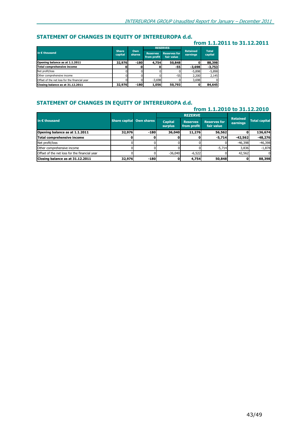### STATEMENT OF CHANGES IN EQUITY OF INTEREUROPA d.d.

### from 1.1.2011 to 31.12.2011

|                                               |                         |               |                                                                     | <b>RESERVES</b> |                             |                         |  |
|-----------------------------------------------|-------------------------|---------------|---------------------------------------------------------------------|-----------------|-----------------------------|-------------------------|--|
| in $\epsilon$ thousand                        | <b>Share</b><br>capital | Own<br>shares | <b>Reserves for</b><br><b>Reserves</b><br>fair value<br>from profit |                 | <b>Retained</b><br>earnings | <b>Total</b><br>capital |  |
| Opening balance as at 1.1.2011                | 32,976                  | $-180$        | 4.754                                                               | 50,848          |                             | 88,398                  |  |
| <b>Total comprehensive income</b>             |                         |               |                                                                     | -551            | $-3,698$                    | $-3,753$                |  |
| Net profit/loss                               |                         |               |                                                                     |                 | $-5,898$                    | $-5,898$                |  |
| Other comprehensive income                    |                         |               |                                                                     | $-55$           | 2,200                       | 2,145                   |  |
| Offset of the net loss for the financial year |                         |               | $-3.698$                                                            |                 | 3.698                       |                         |  |
| Closing balance as at 31.12.2011              | 32,976                  | $-180$        | 1,056                                                               | 50,793          |                             | 84,645                  |  |

### STATEMENT OF CHANGES IN EQUITY OF INTEREUROPA d.d.

#### from 1.1.2010 to 31.12.2010 Capital surplus Reserves from profit Reserves for fair value Opening balance as at 1.1.2011 32,976 -180 36,040 11,276 56,562 0 136,674 Total comprehensive income 0 0 0 0 -5,714 -42,562 -48,276 Net profit/loss 0| 0| 0| 0| 0| -46,398| -46,398 Other comprehensive income 0 0 0 0 0 0 -5,714 3,836 -1,878 Offset of the net loss for the financial year 0 0 -36,040 -6,522 0 42,562 0 Closing balance as at 31.12.2011 32,976 -180 0 4,754 50,848 0 88,398 Retained<br>earnings in € thousand Share capital Own shares Capital Reserves Reserves for carnings Total capital Capital Capital capital capital capital Capital Capital Capital Capital Capital Capital Capital Capital Capital Capital Capital C REZERVE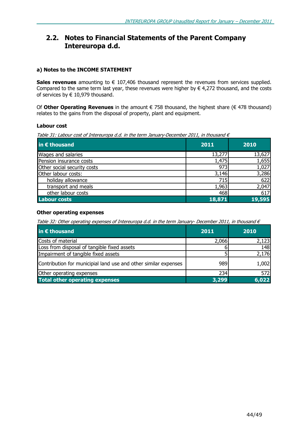### 2.2. Notes to Financial Statements of the Parent Company Intereuropa d.d.

### a) Notes to the INCOME STATEMENT

Sales revenues amounting to  $\epsilon$  107,406 thousand represent the revenues from services supplied. Compared to the same term last year, these revenues were higher by  $\epsilon$  4,272 thousand, and the costs of services by  $\in$  10,979 thousand.

Of Other Operating Revenues in the amount  $\epsilon$  758 thousand, the highest share ( $\epsilon$  478 thousand) relates to the gains from the disposal of property, plant and equipment.

### Labour cost

Table 31: Labour cost of Intereuropa d.d. in the term January-December 2011, in thousand  $\epsilon$ 

| in $\epsilon$ thousand      | 2011   | 2010   |
|-----------------------------|--------|--------|
| Wages and salaries          | 13,277 | 13,627 |
| Pension insurance costs     | 1,475  | 1,655  |
| Other social security costs | 973    | 1,027  |
| Other labour costs:         | 3,146  | 3,286  |
| holiday allowance           | 715    | 622    |
| transport and meals         | 1,963  | 2,047  |
| other labour costs          | 468    | 617    |
| <b>Labour costs</b>         | 18,871 | 19,595 |

### Other operating expenses

Table 32: Other operating expenses of Intereuropa d.d. in the term January- December 2011, in thousand  $\epsilon$ 

| in $\epsilon$ thousand                                          | 2011  | 2010  |
|-----------------------------------------------------------------|-------|-------|
| Costs of material                                               | 2,066 | 2,123 |
| Loss from disposal of tangible fixed assets                     |       | 148   |
| Impairment of tangible fixed assets                             |       | 2,176 |
| Contribution for municipial land use and other similar expenses | 9891  | 1,002 |
| Other operating expenses                                        | 234   | 572   |
| <b>Total other operating expenses</b>                           | 3.299 | 6,022 |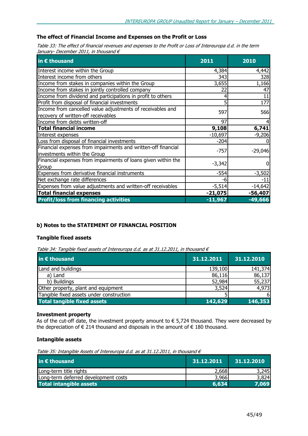### The effect of Financial Income and Expenses on the Profit or Loss

Table 33: The effect of financial revenues and expenses to the Profit or Loss of Intereuropa d.d. in the term January- December 2011, in thousand  $\epsilon$ 

| in $\epsilon$ thousand                                                                        | 2011      | 2010      |
|-----------------------------------------------------------------------------------------------|-----------|-----------|
| Interest income within the Group                                                              | 4,384     | 4,442     |
| Interest income from others                                                                   | 343       | 328       |
| Income from stakes in companies within the Group                                              | 3,655     | 1,166     |
| Income from stakes in jointly controlled company                                              | 22        | 47        |
| Income from dividend and participations in profit to others                                   |           | 11        |
| Profit from disposal of financial investments                                                 |           | 177       |
| Income from cancelled value adjustments of receivables and                                    | 597       | 566       |
| recovery of written-off receivables                                                           |           |           |
| Income from debts written-off                                                                 | 97        |           |
| <b>Total financial income</b>                                                                 | 9,108     | 6,741     |
| Interest expenses                                                                             | $-10,697$ | $-9,206$  |
| Loss from disposal of financial investments                                                   | $-204$    |           |
| Financial expenses from impairments and written-off financial<br>investments within the Group | $-757$    | $-29,046$ |
| Financial expenses from impairments of loans given within the<br>Group                        | $-3,342$  |           |
| Expenses from derivative financial instruments                                                | $-554$    | $-3,502$  |
| Net exchange rate differences                                                                 | -6        | $-11$     |
| Expenses from value adjustments and written-off receivables                                   | $-5,514$  | $-14,642$ |
| <b>Total financial expenses</b>                                                               | $-21,075$ | -56,407   |
| <b>Profit/loss from financing activities</b>                                                  | $-11,967$ | $-49,666$ |

### b) Notes to the STATEMENT OF FINANCIAL POSITION

### Tangible fixed assets

Table 34: Tangible fixed assets of Intereuropa d.d. as at 31.12.2011, in thousand  $\epsilon$ 

| in € thousand                            | 31.12.2011 | 31.12.2010 |
|------------------------------------------|------------|------------|
| Land and buildings                       | 139,100    | 141,374    |
| a) Land                                  | 86,116     | 86,137     |
| b) Buildings                             | 52,984     | 55,237     |
| Other property, plant and equipment      | 3,524      | 4,973      |
| Tangible fixed assets under construction |            |            |
| <b>Total tangible fixed assets</b>       | 142,629    | 146,353    |

### Investment property

As of the cut-off date, the investment property amount to  $\epsilon$  5,724 thousand. They were decreased by the depreciation of  $\epsilon$  214 thousand and disposals in the amount of  $\epsilon$  180 thousand.

### Intangible assets

Table 35: Intangible Assets of Intereuropa d.d. as at 31.12.2011, in thousand  $\epsilon$ 

| in $\epsilon$ thousand               | 31.12.2011 | 31.12.2010 |
|--------------------------------------|------------|------------|
| Long-term title rights               | 2,668      | 3,245      |
| Long-term deferred development costs | 3,966      | 3.824      |
| <b>Total intangible assets</b>       | 6,634      | 7.069      |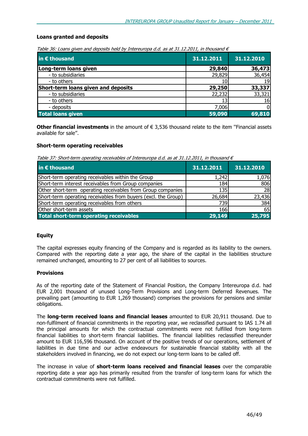### Loans granted and deposits

|  |  |  |  | Table 36: Loans given and deposits held by Intereuropa d.d. as at 31.12.2011, in thousand $\epsilon$ |  |  |  |  |
|--|--|--|--|------------------------------------------------------------------------------------------------------|--|--|--|--|
|  |  |  |  |                                                                                                      |  |  |  |  |

| in € thousand                       | 31.12.2011 | 31.12.2010 |
|-------------------------------------|------------|------------|
| Long-term loans given               | 29,840     | 36,473     |
| - to subsidiaries                   | 29,829     | 36,454     |
| - to others                         |            | 19         |
| Short-term loans given and deposits | 29,250     | 33,337     |
| - to subsidiaries                   | 22,232     | 33,321     |
| - to others                         |            | 16         |
| - deposits                          | 7,006      |            |
| <b>Total loans given</b>            | 59,090     | 69,810     |

Other financial investments in the amount of  $\epsilon$  3,536 thousand relate to the item "Financial assets available for sale''.

### Short-term operating receivables

Table 37: Short-term operating receivables of Intereuropa d.d. as at 31.12.2011, in thousand  $\epsilon$ 

| in $\epsilon$ thousand                                         | 31.12.2011   | 31.12.2010 |
|----------------------------------------------------------------|--------------|------------|
| Short-term operating receivables within the Group              | 1,242        | 1,076      |
| Short-term interest receivables from Group companies           | 184          | 806        |
| Other short-term operating receivables from Group companies    | 135 <b>1</b> | 28         |
| Short-term operating receivables from buyers (excl. the Group) | 26,684       | 23,436     |
| Short-term operating receivables from others                   | 739          | 384        |
| Other short-term assets                                        | 166l         | 65         |
| <b>Total short-term operating receivables</b>                  | 29,149       | 25,795     |

### Equity

The capital expresses equity financing of the Company and is regarded as its liability to the owners. Compared with the reporting date a year ago, the share of the capital in the liabilities structure remained unchanged, amounting to 27 per cent of all liabilities to sources.

### **Provisions**

As of the reporting date of the Statement of Financial Position, the Company Intereuropa d.d. had EUR 2,001 thousand of unused Long-Term Provisions and Long-term Deferred Revenues. The prevailing part (amounting to EUR 1,269 thousand) comprises the provisions for pensions and similar obligations.

The **long-term received loans and financial leases** amounted to EUR 20,911 thousand. Due to non-fulfilment of financial commitments in the reporting year, we reclassified pursuant to IAS 1.74 all the principal amounts for which the contractual commitments were not fulfilled from long-term financial liabilities to short-term financial liabilities. The financial liabilities reclassified thereunder amount to EUR 116,596 thousand. On account of the positive trends of our operations, settlement of liabilities in due time and our active endeavours for sustainable financial stability with all the stakeholders involved in financing, we do not expect our long-term loans to be called off.

The increase in value of short-term loans received and financial leases over the comparable reporting date a year ago has primarily resulted from the transfer of long-term loans for which the contractual commitments were not fulfilled.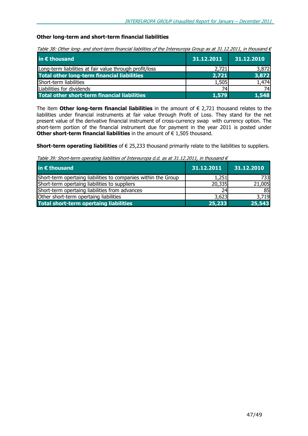### Other long-term and short-term financial liabilities

Table 38: Other long- and short-term financial liabilities of the Intereuropa Group as at 31.12.2011, in thousand  $\epsilon$ 

| in $\epsilon$ thousand                                  | 31.12.2011 | 31.12.2010 |
|---------------------------------------------------------|------------|------------|
| Long-term liabilities at fair value through profit/loss | 2,721      | 3,872      |
| <b>Total other long-term financial liabilities</b>      | 2,721      | 3,872      |
| Short-term liabilities                                  | 1,505      | 1,474      |
| Liabilities for dividends                               |            | 74I        |
| Total other short-term financial liabilities            | 1,579      | 1,548      |

The item Other long-term financial liabilities in the amount of  $\epsilon$  2,721 thousand relates to the liabilities under financial instruments at fair value through Profit of Loss. They stand for the net present value of the derivative financial instrument of cross-currency swap with currency option. The short-term portion of the financial instrument due for payment in the year 2011 is posted under Other short-term financial liabilities in the amount of  $\epsilon$  1,505 thousand.

Short-term operating liabilities of  $\epsilon$  25,233 thousand primarily relate to the liabilities to suppliers.

Table 39: Short-term operating liabilities of Intereuropa d.d. as at 31.12.2011, in thousand  $\epsilon$ 

| in € thousand                                                  | 31.12.2011 | 31.12.2010 |
|----------------------------------------------------------------|------------|------------|
| Short-term opertaing liabilities to companies within the Group | 1,251      | 733        |
| Short-term opertaing liabilities to suppliers                  | 20,335     | 21,005     |
| Short-term opertaing liabilities from advances                 | 24         | 85         |
| Other short-term opertaing liabilities                         | 3,623      | 3,719      |
| <b>Total short-term opertaing liabilities</b>                  | 25,233     | 25,543     |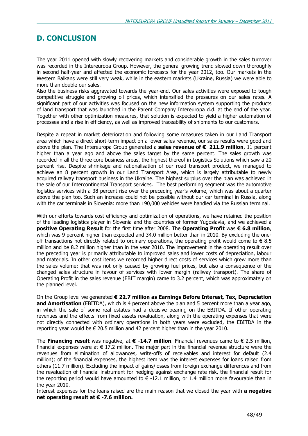### D. CONCLUSION

The year 2011 opened with slowly recovering markets and considerable growth in the sales turnover was recorded in the Intereuropa Group. However, the general growing trend slowed down thoroughly in second half-year and affected the economic forecasts for the year 2012, too. Our markets in the Western Balkans were still very weak, while in the eastern markets (Ukraine, Russia) we were able to more than double our sales.

Also the business risks aggravated towards the year-end. Our sales activities were exposed to tough competitive struggle and growing oil prices, which intensified the pressures on our sales rates. A significant part of our activities was focused on the new information system supporting the products of land transport that was launched in the Parent Company Intereuropa d.d. at the end of the year. Together with other optimization measures, that solution is expected to yield a higher automation of processes and a rise in efficiency, as well as improved traceability of shipments to our customers.

Despite a repeat in market deterioration and following some measures taken in our Land Transport area which have a direct short-term impact on a lower sales revenue, our sales results were good and above the plan. The Intereuropa Group generated a sales revenue of  $\epsilon$  211.9 million, 11 percent higher than a year ago and above the sales target by the same percent. The sales growth was recorded in all the three core business areas, the highest thereof in Logistics Solutions which saw a 20 percent rise. Despite shrinkage and rationalisation of our road transport product, we managed to achieve an 8 percent growth in our Land Transport Area, which is largely attributable to newly acquired railway transport business in the Ukraine. The highest surplus over the plan was achieved in the sale of our Intercontinental Transport services. The best performing segment was the automotive logistics services with a 38 percent rise over the preceding year's volume, which was about a quarter above the plan too. Such an increase could not be possible without our car terminal in Russia, along with the car terminals in Slovenia: more than 190,000 vehicles were handled via the Russian terminal.

With our efforts towards cost efficiency and optimization of operations, we have retained the position of the leading logistics player in Slovenia and the countries of former Yugoslavia, and we achieved a positive Operating Result for the first time after 2008. The Operating Profit was € 6.8 million, which was 9 percent higher than expected and 34.0 million better than in 2010. By excluding the oneoff transactions not directly related to ordinary operations, the operating profit would come to  $\epsilon$  8.5 million and be 8.2 million higher than in the year 2010. The improvement in the operating result over the preceding year is primarily attributable to improved sales and lower costs of depreciation, labour and materials. In other cost items we recorded higher direct costs of services which grew more than the sales volume; that was not only caused by growing fuel prices, but also a consequence of the changed sales structure in favour of services with lower margin (railway transport). The share of Operating Profit in the sales revenue (EBIT margin) came to 3.2 percent, which was approximately on the planned level.

On the Group level we generated € 22.7 million as Earnings Before Interest, Tax, Depreciation and Amortisation (EBITDA), which is 4 percent above the plan and 5 percent more than a year ago, in which the sale of some real estates had a decisive bearing on the EBITDA. If other operating revenues and the effects from fixed assets revaluation, along with the operating expenses that were not directly connected with ordinary operations in both years were excluded, the EBITDA in the reporting year would be  $\in$  20.5 million and 42 percent higher than in the year 2010.

The Financing result was negative, at  $\epsilon$  -14.7 million. Financial revenues came to  $\epsilon$  2.5 million, financial expenses were at  $\epsilon$  17.2 million. The major part in the financial revenue structure were the revenues from elimination of allowances, write-offs of receivables and interest for default (2.4 million); of the financial expenses, the highest item was the interest expenses for loans raised from others (11.7 million). Excluding the impact of gains/losses from foreign exchange differences and from the revaluation of financial instrument for hedging against exchange rate risk, the financial result for the reporting period would have amounted to  $\epsilon$  -12.1 million, or 1.4 million more favourable than in the year 2010.

Interest expenses for the loans raised are the main reason that we closed the year with a negative net operating result at € -7.6 million.